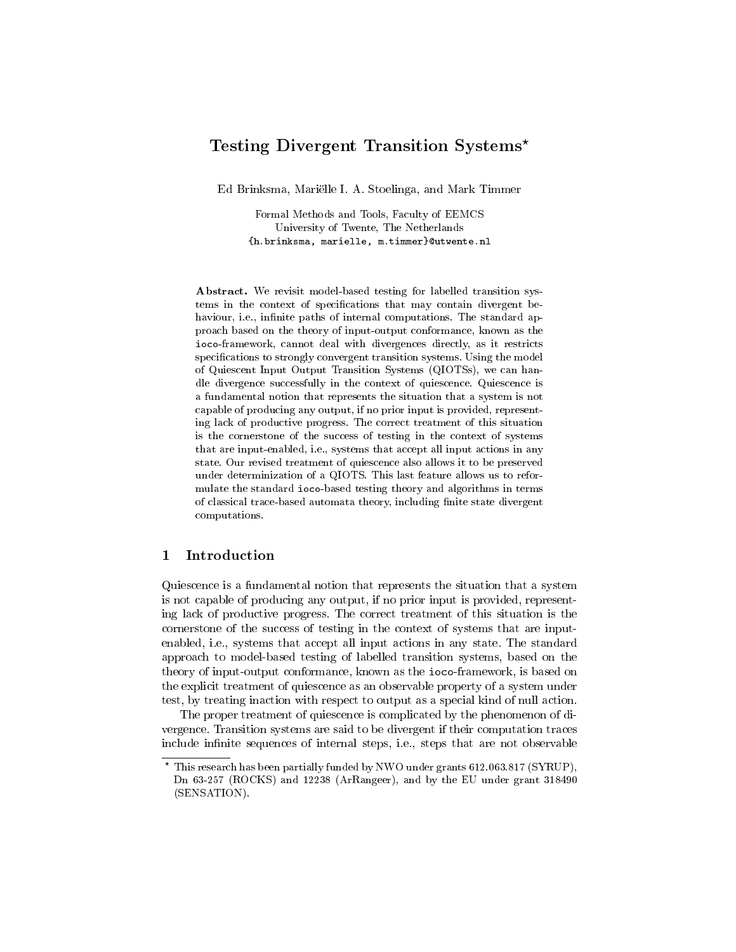# Testing Divergent Transition Systems\*

Ed Brinksma, Mariëlle I. A. Stoelinga, and Mark Timmer

Formal Methods and Tools, Faculty of EEMCS University of Twente, The Netherlands {h.brinksma, marielle, m.timmer}@utwente.nl

Abstract. We revisit model-based testing for labelled transition systems in the context of specifications that may contain divergent behaviour, i.e., infinite paths of internal computations. The standard approach based on the theory of input-output conformance, known as the ioco-framework, cannot deal with divergences directly, as it restricts specifications to strongly convergent transition systems. Using the model of Quiescent Input Output Transition Systems (QIOTSs), we can handle divergence successfully in the context of quiescence. Quiescence is a fundamental notion that represents the situation that a system is not capable of producing any output, if no prior input is provided, representing lack of productive progress. The correct treatment of this situation is the cornerstone of the success of testing in the context of systems that are input-enabled, i.e., systems that accept all input actions in any state. Our revised treatment of quiescence also allows it to be preserved under determinization of a QIOTS. This last feature allows us to reformulate the standard ioco-based testing theory and algorithms in terms of classical trace-based automata theory, including finite state divergent computations.

## 1 Introduction

Quiescence is a fundamental notion that represents the situation that a system is not capable of producing any output, if no prior input is provided, representing lack of productive progress. The correct treatment of this situation is the cornerstone of the success of testing in the context of systems that are inputenabled, i.e., systems that accept all input actions in any state. The standard approach to model-based testing of labelled transition systems, based on the theory of input-output conformance, known as the ioco-framework, is based on the explicit treatment of quiescence as an observable property of a system under test, by treating inaction with respect to output as a special kind of null action.

The proper treatment of quiescence is complicated by the phenomenon of divergence. Transition systems are said to be divergent if their computation traces include infinite sequences of internal steps, i.e., steps that are not observable

<sup>?</sup> This research has been partially funded by NWO under grants 612.063.817 (SYRUP), Dn 63-257 (ROCKS) and 12238 (ArRangeer), and by the EU under grant 318490 (SENSATION).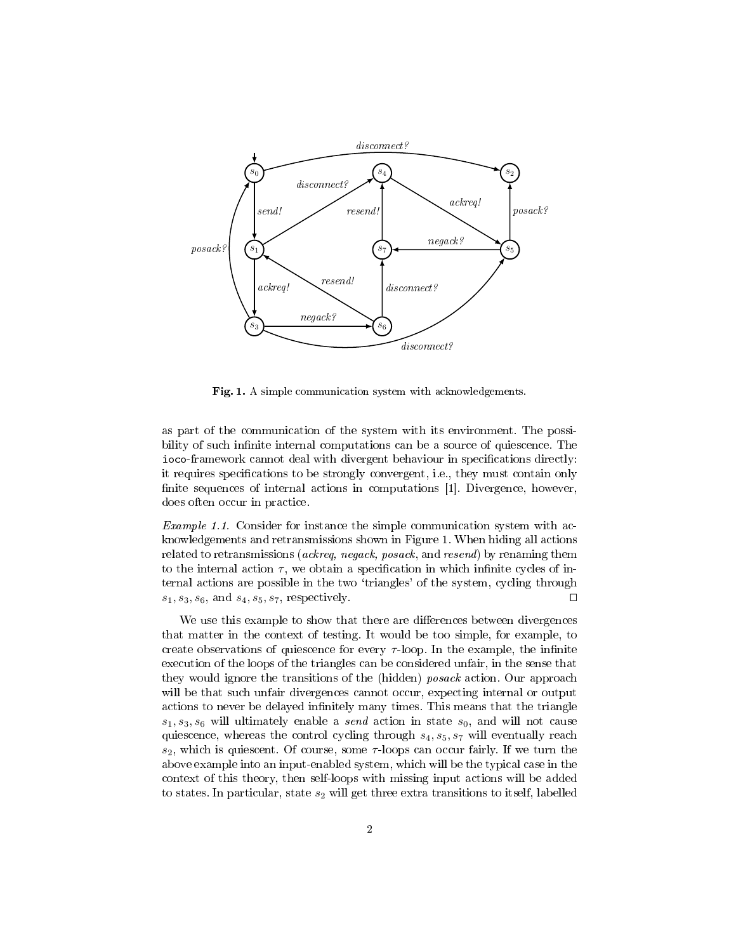

Fig. 1. A simple communication system with acknowledgements.

as part of the communication of the system with its environment. The possibility of such infinite internal computations can be a source of quiescence. The ioco-framework cannot deal with divergent behaviour in specifications directly: it requires specifications to be strongly convergent, i.e., they must contain only finite sequences of internal actions in computations  $[1]$ . Divergence, however, does often occur in practice.

Example 1.1. Consider for instance the simple communication system with acknowledgements and retransmissions shown in Figure 1. When hiding all actions related to retransmissions (ackreq, negack, posack, and resend) by renaming them to the internal action  $\tau$ , we obtain a specification in which infinite cycles of internal actions are possible in the two `triangles' of the system, cycling through  $s_1, s_3, s_6$ , and  $s_4, s_5, s_7$ , respectively.

We use this example to show that there are differences between divergences that matter in the context of testing. It would be too simple, for example, to create observations of quiescence for every  $\tau$ -loop. In the example, the infinite execution of the loops of the triangles can be considered unfair, in the sense that they would ignore the transitions of the (hidden) posack action. Our approach will be that such unfair divergences cannot occur, expecting internal or output actions to never be delayed infinitely many times. This means that the triangle  $s_1, s_3, s_6$  will ultimately enable a send action in state  $s_0$ , and will not cause quiescence, whereas the control cycling through  $s_4$ ,  $s_5$ ,  $s_7$  will eventually reach  $s_2$ , which is quiescent. Of course, some  $\tau$ -loops can occur fairly. If we turn the above example into an input-enabled system, which will be the typical case in the context of this theory, then self-loops with missing input actions will be added to states. In particular, state  $s_2$  will get three extra transitions to itself, labelled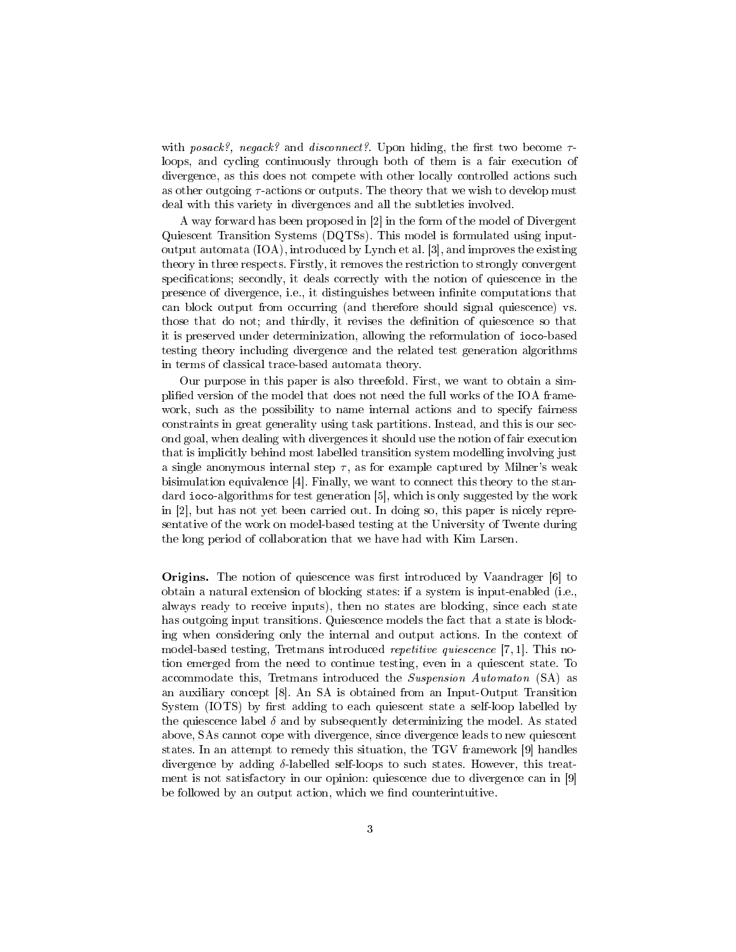with posack?, negack? and disconnect?. Upon hiding, the first two become  $\tau$ loops, and cycling continuously through both of them is a fair execution of divergence, as this does not compete with other locally controlled actions such as other outgoing  $\tau$ -actions or outputs. The theory that we wish to develop must deal with this variety in divergences and all the subtleties involved.

A way forward has been proposed in [2] in the form of the model of Divergent Quiescent Transition Systems (DQTSs). This model is formulated using inputoutput automata (IOA), introduced by Lynch et al. [3], and improves the existing theory in three respects. Firstly, it removes the restriction to strongly convergent specifications; secondly, it deals correctly with the notion of quiescence in the presence of divergence, i.e., it distinguishes between innite computations that can block output from occurring (and therefore should signal quiescence) vs. those that do not; and thirdly, it revises the definition of quiescence so that it is preserved under determinization, allowing the reformulation of ioco-based testing theory including divergence and the related test generation algorithms in terms of classical trace-based automata theory.

Our purpose in this paper is also threefold. First, we want to obtain a simplified version of the model that does not need the full works of the IOA framework, such as the possibility to name internal actions and to specify fairness constraints in great generality using task partitions. Instead, and this is our second goal, when dealing with divergences it should use the notion of fair execution that is implicitly behind most labelled transition system modelling involving just a single anonymous internal step  $\tau$ , as for example captured by Milner's weak bisimulation equivalence [4]. Finally, we want to connect this theory to the standard ioco-algorithms for test generation [5], which is only suggested by the work in [2], but has not yet been carried out. In doing so, this paper is nicely representative of the work on model-based testing at the University of Twente during the long period of collaboration that we have had with Kim Larsen.

**Origins.** The notion of quiescence was first introduced by Vaandrager  $[6]$  to obtain a natural extension of blocking states: if a system is input-enabled (i.e., always ready to receive inputs), then no states are blocking, since each state has outgoing input transitions. Quiescence models the fact that a state is blocking when considering only the internal and output actions. In the context of model-based testing, Tretmans introduced repetitive quiescence [7, 1]. This notion emerged from the need to continue testing, even in a quiescent state. To accommodate this, Tretmans introduced the Suspension Automaton (SA) as an auxiliary concept [8]. An SA is obtained from an Input-Output Transition System (IOTS) by first adding to each quiescent state a self-loop labelled by the quiescence label  $\delta$  and by subsequently determinizing the model. As stated above, SAs cannot cope with divergence, since divergence leads to new quiescent states. In an attempt to remedy this situation, the TGV framework [9] handles divergence by adding  $\delta$ -labelled self-loops to such states. However, this treatment is not satisfactory in our opinion: quiescence due to divergence can in [9] be followed by an output action, which we find counterintuitive.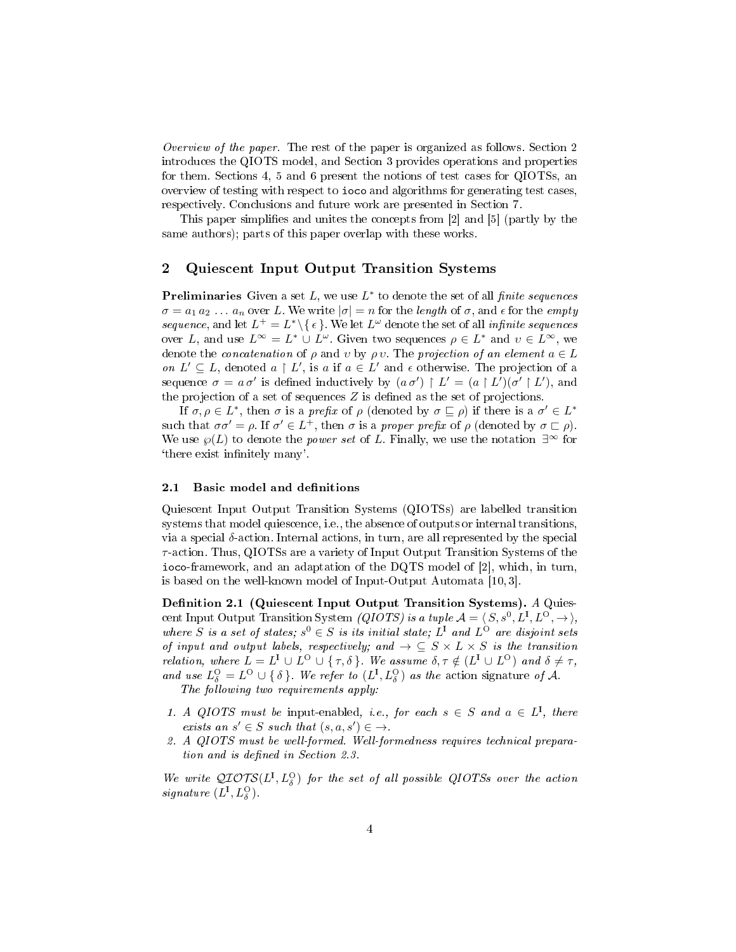Overview of the paper. The rest of the paper is organized as follows. Section 2 introduces the QIOTS model, and Section 3 provides operations and properties for them. Sections 4, 5 and 6 present the notions of test cases for QIOTSs, an overview of testing with respect to ioco and algorithms for generating test cases, respectively. Conclusions and future work are presented in Section 7.

This paper simplifies and unites the concepts from [2] and [5] (partly by the same authors); parts of this paper overlap with these works.

## 2 Quiescent Input Output Transition Systems

**Preliminaries** Given a set L, we use  $L^*$  to denote the set of all *finite sequences*  $\sigma = a_1 a_2 \ldots a_n$  over L. We write  $|\sigma| = n$  for the length of  $\sigma$ , and  $\epsilon$  for the empty sequence, and let  $L^+ = L^* \setminus \{\epsilon\}$ . We let  $L^{\omega}$  denote the set of all *infinite sequences* over L, and use  $L^{\infty} = L^* \cup L^{\omega}$ . Given two sequences  $\rho \in L^*$  and  $v \in L^{\infty}$ , we denote the *concatenation* of  $\rho$  and  $v$  by  $\rho v$ . The projection of an element  $a \in L$ on  $L' \subseteq L$ , denoted  $a \restriction L'$ , is a if  $a \in L'$  and  $\epsilon$  otherwise. The projection of a sequence  $\sigma = a \sigma'$  is defined inductively by  $(a \sigma') \upharpoonright L' = (a \upharpoonright L')(\sigma' \upharpoonright L')$ , and the projection of a set of sequences  $Z$  is defined as the set of projections.

If  $\sigma, \rho \in L^*$ , then  $\sigma$  is a prefix of  $\rho$  (denoted by  $\sigma \sqsubseteq \rho$ ) if there is a  $\sigma' \in L^*$ such that  $\sigma \sigma' = \rho$ . If  $\sigma' \in L^+$ , then  $\sigma$  is a proper prefix of  $\rho$  (denoted by  $\sigma \sqsubset \rho$ ). We use  $\wp(L)$  to denote the *power set* of L. Finally, we use the notation  $\exists^{\infty}$  for 'there exist infinitely many'.

#### 2.1 Basic model and definitions

Quiescent Input Output Transition Systems (QIOTSs) are labelled transition systems that model quiescence, i.e., the absence of outputs or internal transitions, via a special δ-action. Internal actions, in turn, are all represented by the special  $\tau$ -action. Thus, QIOTSs are a variety of Input Output Transition Systems of the ioco-framework, and an adaptation of the DQTS model of [2], which, in turn, is based on the well-known model of Input-Output Automata [10, 3].

Definition 2.1 (Quiescent Input Output Transition Systems). A Quiescent Input Output Transition System *(QIOTS) is a tuple*  $\mathcal{A} = \langle S, s^0, L^I, L^O, \rightarrow \rangle$ *,* where S is a set of states;  $s^0 \in S$  is its initial state;  $L^I$  and  $L^O$  are disjoint sets of input and output labels, respectively; and  $\rightarrow \subseteq S \times L \times S$  is the transition relation, where  $L = L^{\text{I}} \cup L^{\text{O}} \cup \{\tau, \delta\}$ . We assume  $\delta, \tau \notin (L^{\text{I}} \cup L^{\text{O}})$  and  $\delta \neq \tau$ , and use  $L_{\delta}^{\circ} = L^{\circ} \cup \{\delta\}$ . We refer to  $(L^{I}, L_{\delta}^{\circ})$  as the action signature of A.

The following two requirements apply:

- 1. A QIOTS must be input-enabled, i.e., for each  $s \in S$  and  $a \in L^I$ , there exists an  $s' \in S$  such that  $(s, a, s') \in \rightarrow$ .
- 2. A QIOTS must be well-formed. Well-formedness requires technical preparation and is defined in Section 2.3.

We write  $\mathcal{QIOTS}(L^I, L^O_\delta)$  for the set of all possible QIOTSs over the action signature  $(L^{\text{I}}, L^{\text{O}}_{\delta})$ .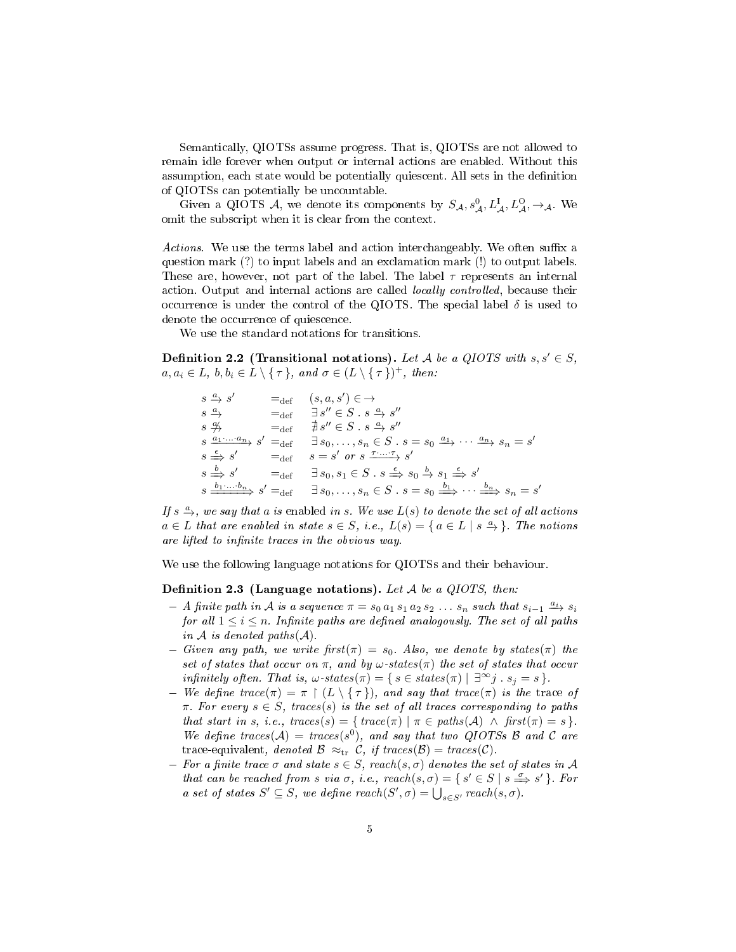Semantically, QIOTSs assume progress. That is, QIOTSs are not allowed to remain idle forever when output or internal actions are enabled. Without this assumption, each state would be potentially quiescent. All sets in the denition of QIOTSs can potentially be uncountable.

Given a QIOTS A, we denote its components by  $S_{\mathcal{A}}, s_{\mathcal{A}}^0, L_{\mathcal{A}}^1, L_{\mathcal{A}}^0, \rightarrow_{\mathcal{A}}$ . We omit the subscript when it is clear from the context.

Actions. We use the terms label and action interchangeably. We often suffix a question mark (?) to input labels and an exclamation mark (!) to output labels. These are, however, not part of the label. The label  $\tau$  represents an internal action. Output and internal actions are called locally controlled, because their occurrence is under the control of the QIOTS. The special label  $\delta$  is used to denote the occurrence of quiescence.

We use the standard notations for transitions.

**Definition 2.2 (Transitional notations).** Let A be a QIOTS with  $s, s' \in S$ ,  $a, a_i \in L, b, b_i \in L \setminus \{\tau\}, \text{ and } \sigma \in (L \setminus \{\tau\})^+, \text{ then:}$ 

$$
s \xrightarrow{a} s'
$$
  
\n
$$
s \xrightarrow{a} = \det \quad \exists s'' \in S \quad s \xrightarrow{a} s''
$$
  
\n
$$
s \xrightarrow{a} = \det \quad \exists s'' \in S \quad s \xrightarrow{a} s''
$$
  
\n
$$
s \xrightarrow{a_1 \dots a_n} s' = \det \quad \exists s_0, \dots, s_n \in S \quad s = s_0 \xrightarrow{a_1} \dots \xrightarrow{a_n} s_n = s'
$$
  
\n
$$
s \xrightarrow{\epsilon} s' = \det \quad s = s' \quad \text{or} \quad s \xrightarrow{\tau \dots \tau} s'
$$
  
\n
$$
s \xrightarrow{b} s' = \det \quad \exists s_0, s_1 \in S \quad s \xrightarrow{\epsilon} s_0 \xrightarrow{b} s_1 \xrightarrow{\epsilon} s'
$$
  
\n
$$
s \xrightarrow{b_1 \dots b_n} s' = \det \quad \exists s_0, \dots, s_n \in S \quad s = s_0 \xrightarrow{b_1} \dots \xrightarrow{b_n} s_n = s'
$$

If  $s \xrightarrow{a}$ , we say that a is enabled in s. We use  $L(s)$  to denote the set of all actions  $a \in L$  that are enabled in state  $s \in S$ , i.e.,  $L(s) = \{ a \in L \mid s \stackrel{a}{\to} \}$ . The notions are lifted to infinite traces in the obvious way.

We use the following language notations for QIOTSs and their behaviour.

#### Definition 2.3 (Language notations). Let  $A$  be a QIOTS, then:

- A finite path in A is a sequence  $\pi = s_0 a_1 s_1 a_2 s_2 \ldots s_n$  such that  $s_{i-1} \xrightarrow{a_i} s_i$ for all  $1 \leq i \leq n$ . Infinite paths are defined analogously. The set of all paths in  $A$  is denoted paths  $(A)$ .
- $-Given$  any path, we write first $(\pi) = s_0$ . Also, we denote by states $(\pi)$  the set of states that occur on  $\pi$ , and by  $\omega$ -states( $\pi$ ) the set of states that occur infinitely often. That is,  $\omega$ -states $(\pi) = \{ s \in \text{states}(\pi) \mid \exists^{\infty} j \cdot s_j = s \}.$
- We define trace( $\pi$ ) =  $\pi$  | ( $L \setminus \{\tau\}$ ), and say that trace( $\pi$ ) is the trace of  $\pi$ . For every  $s \in S$ , traces(s) is the set of all traces corresponding to paths that start in s, i.e.,  $traces(s) = \{ trace(\pi) | \pi \in paths(\mathcal{A}) \land first(\pi) = s \}.$ We define traces(A) = traces(s<sup>0</sup>), and say that two QIOTSs B and C are trace-equivalent, denoted  $\mathcal{B} \approx_{tr} \mathcal{C}$ , if traces( $\mathcal{B}$ ) = traces( $\mathcal{C}$ ).
- $F$  For a finite trace  $\sigma$  and state  $s \in S$ , reach $(s, \sigma)$  denotes the set of states in A that can be reached from s via  $\sigma$ , i.e.,  $reach(s, \sigma) = \{ s' \in S \mid s \stackrel{\sigma}{\Longrightarrow} s' \}$ . For a set of states  $S' \subseteq S$ , we define  $reach(S', \sigma) = \bigcup_{s \in S'} reach(s, \sigma)$ .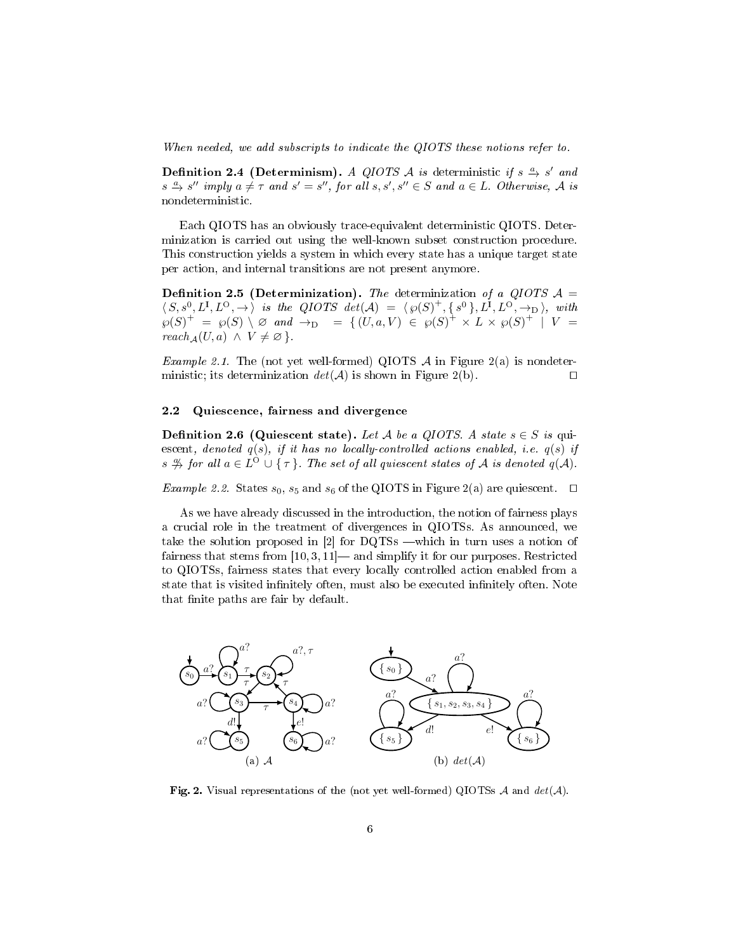When needed, we add subscripts to indicate the QIOTS these notions refer to.

Definition 2.4 (Determinism). A QIOTS A is deterministic if  $s \stackrel{a}{\rightarrow} s'$  and  $s \stackrel{a}{\to} s''$  imply  $a \neq \tau$  and  $s' = s''$ , for all  $s, s', s'' \in S$  and  $a \in L$ . Otherwise, A is nondeterministic.

Each QIOTS has an obviously trace-equivalent deterministic QIOTS. Determinization is carried out using the well-known subset construction procedure. This construction yields a system in which every state has a unique target state per action, and internal transitions are not present anymore.

**Definition 2.5 (Determinization).** The determinization of a QIOTS  $A =$  $\langle S, s^0, L^I, L^O, \rightarrow \rangle$  is the QIOTS  $det(\mathcal{A}) = \langle \wp(S)^+, \{s^0\}, L^I, L^O, \rightarrow_D \rangle$ , with  $\wp(S)^{+} = \wp(S) \setminus \varnothing$  and  $\rightarrow_D$  =  $\{(U, a, V) \in \wp(S)^{+} \times L \times \wp(S)^{+} \mid V =$  $reach_{\mathcal{A}}(U, a) \ \wedge \ V \neq \varnothing$ .

*Example 2.1.* The (not yet well-formed) QIOTS  $\mathcal A$  in Figure 2(a) is nondeterministic; its determinization  $det(\mathcal{A})$  is shown in Figure 2(b).

### 2.2 Quiescence, fairness and divergence

**Definition 2.6 (Quiescent state).** Let A be a QIOTS. A state  $s \in S$  is quiescent, denoted  $q(s)$ , if it has no locally-controlled actions enabled, i.e.  $q(s)$  if  $s \nrightarrow$  for all  $a \in L^{\circlearrowright} \cup \{\tau\}$ . The set of all quiescent states of A is denoted  $q(\mathcal{A})$ .

Example 2.2. States  $s_0$ ,  $s_5$  and  $s_6$  of the QIOTS in Figure 2(a) are quiescent.  $\Box$ 

As we have already discussed in the introduction, the notion of fairness plays a crucial role in the treatment of divergences in QIOTSs. As announced, we take the solution proposed in  $[2]$  for DQTSs —which in turn uses a notion of fairness that stems from  $[10, 3, 11]$  and simplify it for our purposes. Restricted to QIOTSs, fairness states that every locally controlled action enabled from a state that is visited infinitely often, must also be executed infinitely often. Note that finite paths are fair by default.



Fig. 2. Visual representations of the (not yet well-formed) QIOTSs  $\mathcal A$  and  $det(\mathcal A)$ .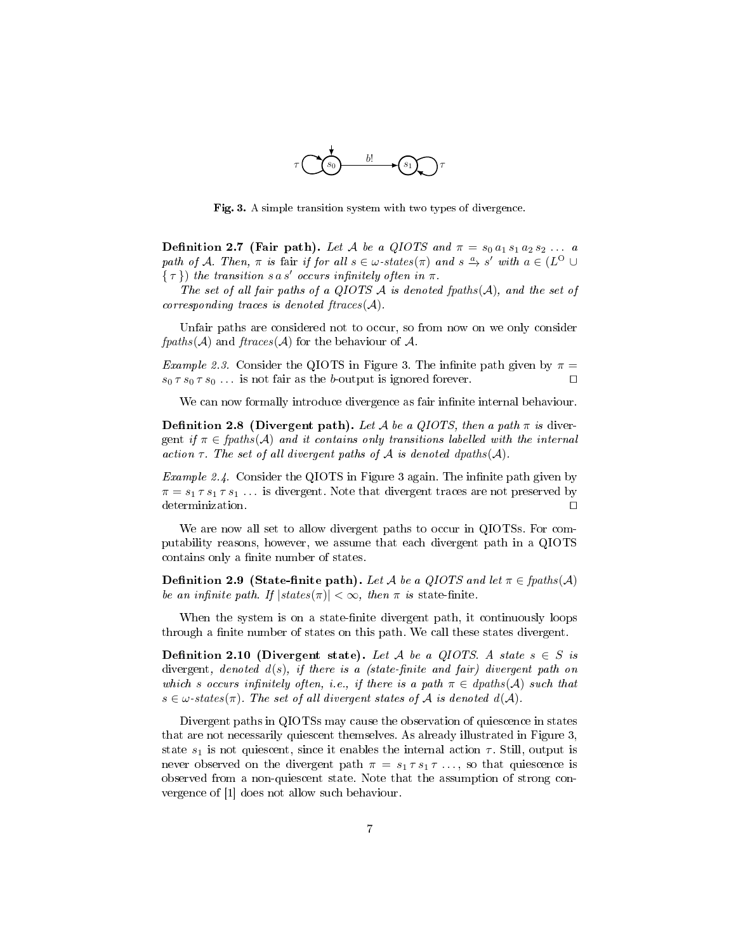

Fig. 3. A simple transition system with two types of divergence.

**Definition 2.7 (Fair path).** Let A be a QIOTS and  $\pi = s_0 a_1 s_1 a_2 s_2 \ldots a_n$ path of A. Then,  $\pi$  is fair if for all  $s \in \omega$ -states( $\pi$ ) and  $s \stackrel{a}{\rightarrow} s'$  with  $a \in (L^{\circ} \cup$  $\{\tau\}$ ) the transition s a s' occurs infinitely often in  $\pi$ .

The set of all fair paths of a QIOTS  $\mathcal A$  is denoted fpaths( $\mathcal A$ ), and the set of corresponding traces is denoted ftraces $(A)$ .

Unfair paths are considered not to occur, so from now on we only consider fpaths(A) and ftraces(A) for the behaviour of A.

*Example 2.3.* Consider the QIOTS in Figure 3. The infinite path given by  $\pi =$  $s_0 \tau s_0 \tau s_0 \ldots$  is not fair as the b-output is ignored forever.

We can now formally introduce divergence as fair infinite internal behaviour.

**Definition 2.8 (Divergent path).** Let A be a QIOTS, then a path  $\pi$  is divergent if  $\pi \in$  fpaths(A) and it contains only transitions labelled with the internal action  $\tau$ . The set of all divergent paths of A is denoted dpaths(A).

*Example 2.4.* Consider the QIOTS in Figure 3 again. The infinite path given by  $\pi = s_1 \tau s_1 \tau s_1 \ldots$  is divergent. Note that divergent traces are not preserved by determinization.  $\Box$ 

We are now all set to allow divergent paths to occur in QIOTSs. For computability reasons, however, we assume that each divergent path in a QIOTS contains only a finite number of states.

**Definition 2.9** (State-finite path). Let A be a QIOTS and let  $\pi \in \text{fpaths}(\mathcal{A})$ be an infinite path. If  $|states(\pi)| < \infty$ , then  $\pi$  is state-finite.

When the system is on a state-finite divergent path, it continuously loops through a finite number of states on this path. We call these states divergent.

**Definition 2.10 (Divergent state).** Let A be a QIOTS. A state  $s \in S$  is divergent, denoted  $d(s)$ , if there is a (state-finite and fair) divergent path on which s occurs infinitely often, i.e., if there is a path  $\pi \in dpaths(\mathcal{A})$  such that  $s \in \omega$ -states( $\pi$ ). The set of all divergent states of A is denoted  $d(\mathcal{A})$ .

Divergent paths in QIOTSs may cause the observation of quiescence in states that are not necessarily quiescent themselves. As already illustrated in Figure 3, state  $s_1$  is not quiescent, since it enables the internal action  $\tau$ . Still, output is never observed on the divergent path  $\pi = s_1 \tau s_1 \tau \ldots$ , so that quiescence is observed from a non-quiescent state. Note that the assumption of strong convergence of [1] does not allow such behaviour.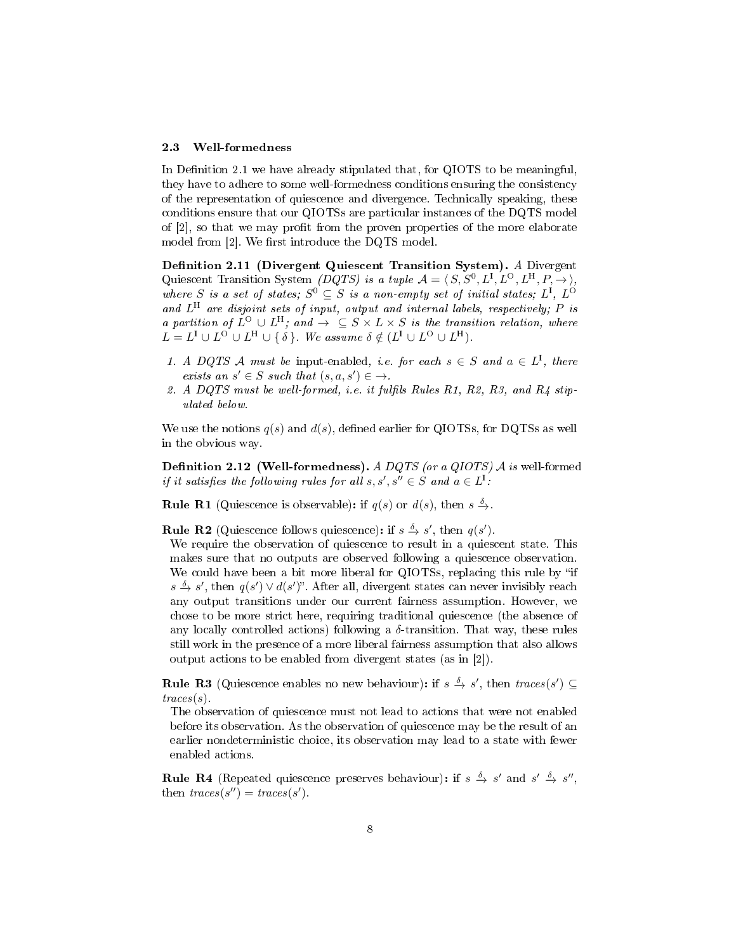### 2.3 Well-formedness

In Definition 2.1 we have already stipulated that, for QIOTS to be meaningful, they have to adhere to some well-formedness conditions ensuring the consistency of the representation of quiescence and divergence. Technically speaking, these conditions ensure that our QIOTSs are particular instances of the DQTS model of [2], so that we may profit from the proven properties of the more elaborate model from  $[2]$ . We first introduce the DQTS model.

Definition 2.11 (Divergent Quiescent Transition System). A Divergent Quiescent Transition System (DQTS) is a tuple  $\mathcal{A} = \langle S, S^0, L^I, L^O, L^H, P, \rightarrow \rangle$ , where S is a set of states;  $S^0 \subseteq S$  is a non-empty set of initial states;  $L^1$ ,  $L^O$ and  $L<sup>H</sup>$  are disjoint sets of input, output and internal labels, respectively; P is a partition of  $L^{\mathcal{O}} \cup L^{\mathcal{H}}$ ; and  $\rightarrow \subseteq S \times L \times S$  is the transition relation, where  $L = L^{\text{I}} \cup L^{\text{O}} \cup L^{\text{H}} \cup \{\delta\}$ . We assume  $\delta \notin (L^{\text{I}} \cup L^{\text{O}} \cup L^{\text{H}})$ .

- 1. A DQTS A must be input-enabled, i.e. for each  $s \in S$  and  $a \in L^{\mathcal{I}}$ , there exists an  $s' \in S$  such that  $(s, a, s') \in \rightarrow$ .
- 2. A DQTS must be well-formed, i.e. it fulfils Rules R1, R2, R3, and R4 stipulated below.

We use the notions  $q(s)$  and  $d(s)$ , defined earlier for QIOTSs, for DQTSs as well in the obvious way.

**Definition 2.12 (Well-formedness).** A DQTS (or a QIOTS) A is well-formed if it satisfies the following rules for all  $s, s', s'' \in S$  and  $a \in L^1$ :

**Rule R1** (Quiescence is observable): if  $q(s)$  or  $d(s)$ , then  $s \stackrel{\delta}{\rightarrow}$ .

**Rule R2** (Quiescence follows quiescence): if  $s \stackrel{\delta}{\to} s'$ , then  $q(s')$ .

We require the observation of quiescence to result in a quiescent state. This makes sure that no outputs are observed following a quiescence observation. We could have been a bit more liberal for QIOTSs, replacing this rule by "if  $s \stackrel{\delta}{\to} s'$ , then  $q(s') \vee d(s')$ ". After all, divergent states can never invisibly reach any output transitions under our current fairness assumption. However, we chose to be more strict here, requiring traditional quiescence (the absence of any locally controlled actions) following a  $\delta$ -transition. That way, these rules still work in the presence of a more liberal fairness assumption that also allows output actions to be enabled from divergent states (as in [2]).

**Rule R3** (Quiescence enables no new behaviour): if  $s \stackrel{\delta}{\to} s'$ , then  $traces(s') \subseteq$ traces(s).

The observation of quiescence must not lead to actions that were not enabled before its observation. As the observation of quiescence may be the result of an earlier nondeterministic choice, its observation may lead to a state with fewer enabled actions.

**Rule R4** (Repeated quiescence preserves behaviour): if  $s \stackrel{\delta}{\to} s'$  and  $s' \stackrel{\delta}{\to} s''$ , then  $traces(s'') = traces(s')$ .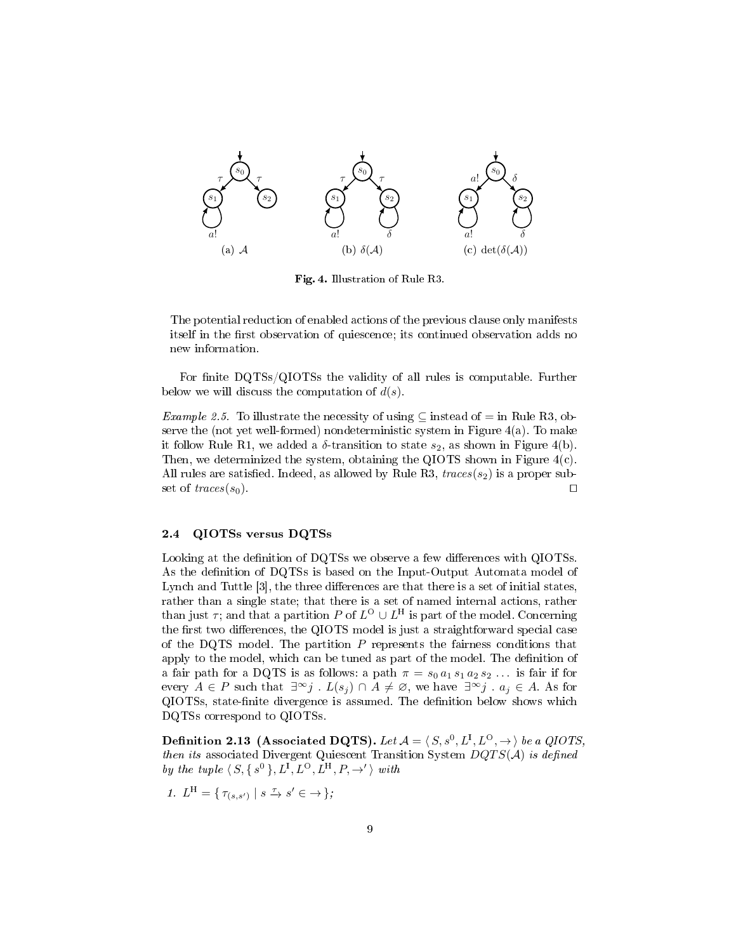

Fig. 4. Illustration of Rule R3.

The potential reduction of enabled actions of the previous clause only manifests itself in the first observation of quiescence; its continued observation adds no new information.

For finite  $DQTSs/QIOTSs$  the validity of all rules is computable. Further below we will discuss the computation of  $d(s)$ .

Example 2.5. To illustrate the necessity of using  $\subseteq$  instead of  $=$  in Rule R3, observe the (not yet well-formed) nondeterministic system in Figure 4(a). To make it follow Rule R1, we added a  $\delta$ -transition to state  $s_2$ , as shown in Figure 4(b). Then, we determinized the system, obtaining the QIOTS shown in Figure  $4(c)$ . All rules are satisfied. Indeed, as allowed by Rule R3,  $traces(s_2)$  is a proper subset of  $traces(s_0)$ .

## 2.4 QIOTSs versus DQTSs

Looking at the definition of DQTSs we observe a few differences with QIOTSs. As the definition of DQTSs is based on the Input-Output Automata model of Lynch and Tuttle  $[3]$ , the three differences are that there is a set of initial states. rather than a single state; that there is a set of named internal actions, rather than just  $\tau$ ; and that a partition P of  $L^{\text{O}} \cup L^{\text{H}}$  is part of the model. Concerning the first two differences, the QIOTS model is just a straightforward special case of the DQTS model. The partition  $P$  represents the fairness conditions that apply to the model, which can be tuned as part of the model. The definition of a fair path for a DQTS is as follows: a path  $\pi = s_0 a_1 s_1 a_2 s_2 \dots$  is fair if for every  $A \in P$  such that  $\exists^{\infty} j$ .  $L(s_j) \cap A \neq \emptyset$ , we have  $\exists^{\infty} j$ .  $a_j \in A$ . As for QIOTSs, state-finite divergence is assumed. The definition below shows which DQTSs correspond to QIOTSs.

Definition 2.13 (Associated DQTS). Let  $\mathcal{A} = \langle S, s^0, L^I, L^O, \rightarrow \rangle$  be a QIOTS, then its associated Divergent Quiescent Transition System  $DQTS(\mathcal{A})$  is defined by the tuple  $\langle S, \{s^0\}, L^{\overline{1}}, L^{\overline{O}}, L^{\overline{H}}, P, \rightarrow' \rangle$  with

1.  $L^{\text{H}} = \{ \tau_{(s,s')} \mid s \stackrel{\tau}{\rightarrow} s' \in \rightarrow \};$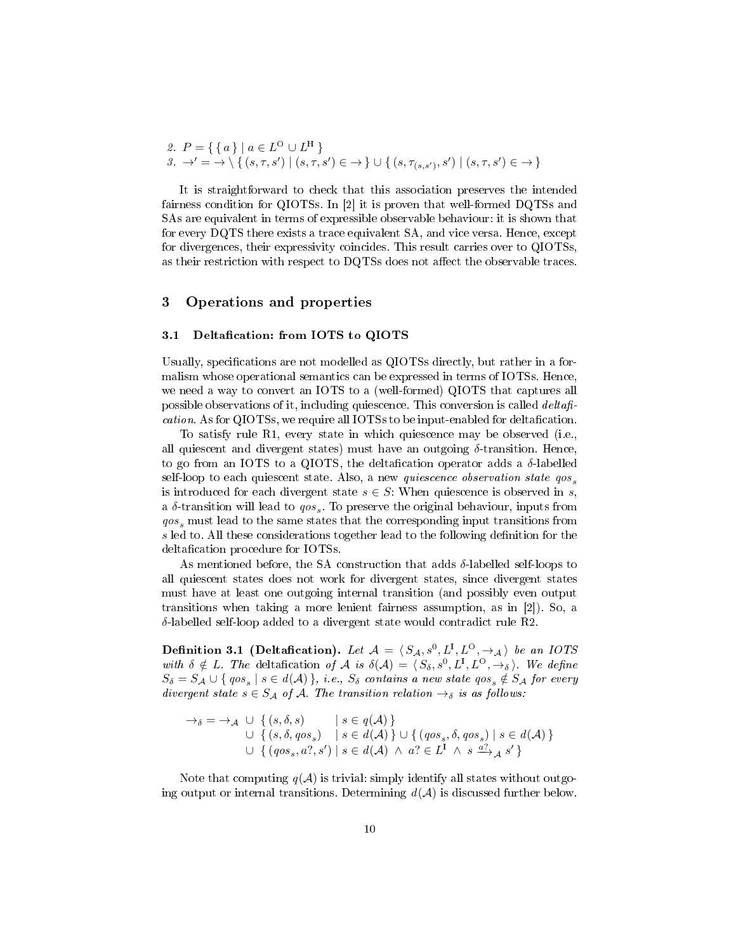2. 
$$
P = \{ \{a\} \mid a \in L^{\mathcal{O}} \cup L^{\mathcal{H}} \}
$$
  
\n3.  $\rightarrow' = \rightarrow \{ \{s, \tau, s' \} \mid (s, \tau, s') \in \rightarrow \} \cup \{ (s, \tau_{(s,s')}, s') \mid (s, \tau, s') \in \rightarrow \}$ 

It is straightforward to check that this association preserves the intended fairness condition for QIOTSs. In [2] it is proven that well-formed DQTSs and SAs are equivalent in terms of expressible observable behaviour: it is shown that for every DQTS there exists a trace equivalent SA, and vice versa. Hence, except for divergences, their expressivity coincides. This result carries over to QIOTSs, as their restriction with respect to  $\rm DQTSs$  does not affect the observable traces.

### 3 Operations and properties

#### 3.1 Deltafication: from IOTS to QIOTS

Usually, specifications are not modelled as QIOTSs directly, but rather in a formalism whose operational semantics can be expressed in terms of IOTSs. Hence, we need a way to convert an IOTS to a (well-formed) QIOTS that captures all possible observations of it, including quiescence. This conversion is called  $delta$ cation. As for QIOTSs, we require all IOTSs to be input-enabled for deltafication.

To satisfy rule R1, every state in which quiescence may be observed (i.e., all quiescent and divergent states) must have an outgoing  $\delta$ -transition. Hence, to go from an IOTS to a QIOTS, the deltafication operator adds a  $\delta$ -labelled self-loop to each quiescent state. Also, a new *quiescence observation state qos*. is introduced for each divergent state  $s \in S$ : When quiescence is observed in s, a  $\delta$ -transition will lead to  $q\sigma s_s$ . To preserve the original behaviour, inputs from  $q\sigma s$ , must lead to the same states that the corresponding input transitions from  $s$  led to. All these considerations together lead to the following definition for the deltafication procedure for IOTSs.

As mentioned before, the SA construction that adds  $\delta$ -labelled self-loops to all quiescent states does not work for divergent states, since divergent states must have at least one outgoing internal transition (and possibly even output transitions when taking a more lenient fairness assumption, as in [2]). So, a δ-labelled self-loop added to a divergent state would contradict rule R2.

Definition 3.1 (Deltafication). Let  $\mathcal{A} = \langle S_{\mathcal{A}}, s^0, L^I, L^O, \rightarrow_{\mathcal{A}} \rangle$  be an IOTS with  $\delta \notin L$ . The deltafication of A is  $\delta(A) = \langle S_\delta, s^0, L^I, L^O, \rightarrow_\delta \rangle$ . We define  $S_\delta = S_\mathcal{A} \cup \{ \textit{ qos}_s \mid s \in \textit{d(A)} \}, \textit{i.e., } S_\delta \textit{ contains a new state } \textit{ qos}_s \notin S_\mathcal{A} \textit{ for every }$ divergent state  $s \in S_A$  of A. The transition relation  $\rightarrow_{\delta}$  is as follows:

$$
\rightarrow_{\delta} = \rightarrow_{\mathcal{A}} \cup \{ (s, \delta, s) \mid s \in q(\mathcal{A}) \} \cup \{ (s, \delta, qos_s) \mid s \in d(\mathcal{A}) \} \cup \{ (qos_s, \delta, qos_s) \mid s \in d(\mathcal{A}) \} \cup \{ (qos_s, a?, s') \mid s \in d(\mathcal{A}) \land a? \in L^{\mathcal{I}} \land s \xrightarrow{a?}_{\mathcal{A}} s' \}
$$

Note that computing  $q(\mathcal{A})$  is trivial: simply identify all states without outgoing output or internal transitions. Determining  $d(\mathcal{A})$  is discussed further below.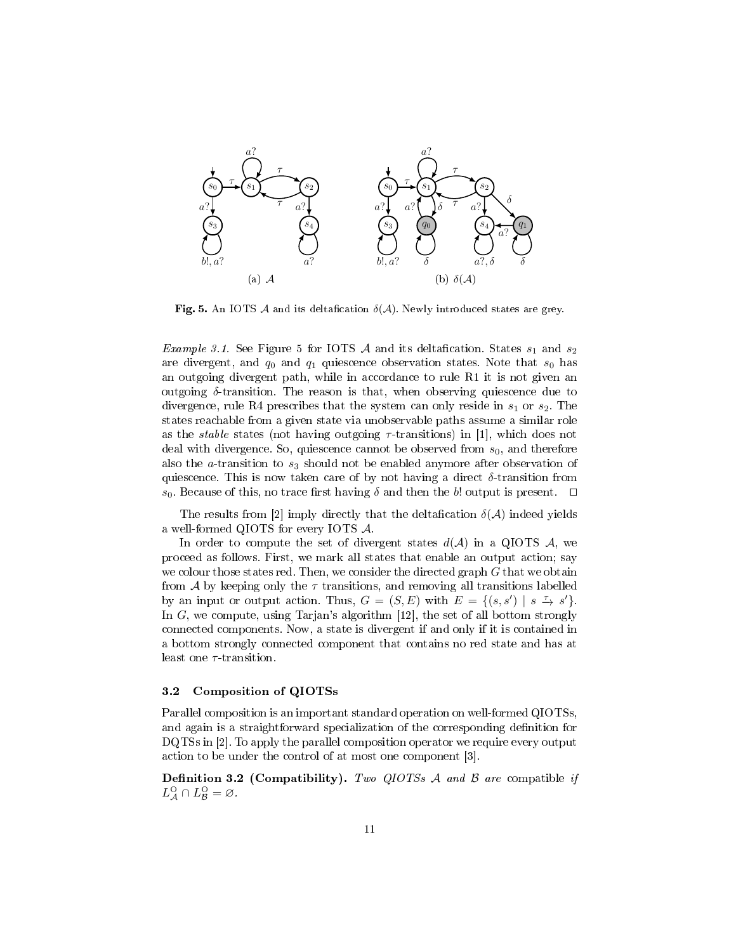

Fig. 5. An IOTS  $\mathcal A$  and its deltafication  $\delta(\mathcal A)$ . Newly introduced states are grey.

*Example 3.1.* See Figure 5 for IOTS  $\mathcal A$  and its deltafication. States  $s_1$  and  $s_2$ are divergent, and  $q_0$  and  $q_1$  quiescence observation states. Note that  $s_0$  has an outgoing divergent path, while in accordance to rule R1 it is not given an outgoing  $\delta$ -transition. The reason is that, when observing quiescence due to divergence, rule R4 prescribes that the system can only reside in  $s_1$  or  $s_2$ . The states reachable from a given state via unobservable paths assume a similar role as the *stable* states (not having outgoing  $\tau$ -transitions) in [1], which does not deal with divergence. So, quiescence cannot be observed from  $s_0$ , and therefore also the *a*-transition to  $s_3$  should not be enabled anymore after observation of quiescence. This is now taken care of by not having a direct  $\delta$ -transition from s<sub>0</sub>. Because of this, no trace first having  $\delta$  and then the b! output is present.  $\Box$ 

The results from [2] imply directly that the deltafication  $\delta(\mathcal{A})$  indeed yields a well-formed QIOTS for every IOTS A.

In order to compute the set of divergent states  $d(\mathcal{A})$  in a QIOTS  $\mathcal{A}$ , we proceed as follows. First, we mark all states that enable an output action; say we colour those states red. Then, we consider the directed graph  $G$  that we obtain from A by keeping only the  $\tau$  transitions, and removing all transitions labelled by an input or output action. Thus,  $G = (S, E)$  with  $E = \{(s, s') | s \stackrel{\tau}{\to} s'\}.$ In  $G$ , we compute, using Tarjan's algorithm [12], the set of all bottom strongly connected components. Now, a state is divergent if and only if it is contained in a bottom strongly connected component that contains no red state and has at least one  $\tau$ -transition.

#### 3.2 Composition of QIOTSs

Parallel composition is an important standard operation on well-formed QIOTSs, and again is a straightforward specialization of the corresponding definition for DQTSs in [2]. To apply the parallel composition operator we require every output action to be under the control of at most one component [3].

**Definition 3.2 (Compatibility).** Two QIOTSs  $A$  and  $B$  are compatible if  $L^{\mathcal{O}}_{\mathcal{A}} \cap L^{\mathcal{O}}_{\mathcal{B}} = \varnothing.$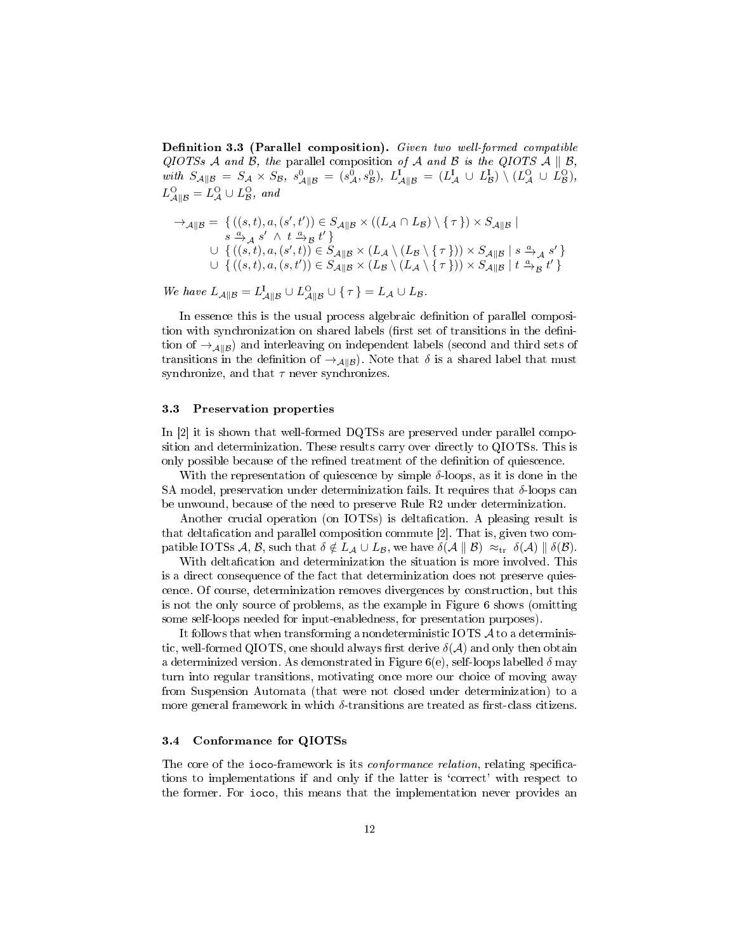Definition 3.3 (Parallel composition). Given two well-formed compatible QIOTSs A and B, the parallel composition of A and B is the QIOTS A  $\parallel$  B,  $with S_{\mathcal{A}||\mathcal{B}} = S_{\mathcal{A}} \times S_{\mathcal{B}}, \ s_{\mathcal{A}||\mathcal{B}}^{0} = (s_{\mathcal{A}}^{0}, s_{\mathcal{B}}^{0}), \ L_{\mathcal{A}||\mathcal{B}}^{1} = (L_{\mathcal{A}}^{1} \cup L_{\mathcal{B}}^{1}) \setminus (L_{\mathcal{A}}^{O} \cup L_{\mathcal{B}}^{O}),$  $L^{\mathcal{O}}_{\mathcal{A}||\mathcal{B}} = L^{\mathcal{O}}_{\mathcal{A}} \cup L^{\mathcal{O}}_{\mathcal{B}}$ , and

$$
\neg\lambda_{\parallel\mathcal{B}} = \left\{ \left( (s,t), a, (s',t') \right) \in S_{\mathcal{A} \parallel \mathcal{B}} \times \left( (L_{\mathcal{A}} \cap L_{\mathcal{B}}) \setminus \{\tau\} \right) \times S_{\mathcal{A} \parallel \mathcal{B}} \mid \right. \\ \left. \begin{array}{c} s \xrightarrow{a} s' \land t \xrightarrow{a} s' \\ \cup \{ ((s,t), a, (s',t)) \in S_{\mathcal{A} \parallel \mathcal{B}} \times (L_{\mathcal{A}} \setminus (L_{\mathcal{B}} \setminus \{\tau\})) \times S_{\mathcal{A} \parallel \mathcal{B}} \mid s \xrightarrow{a} s' \} \\ \cup \left\{ ((s,t), a, (s,t') ) \in S_{\mathcal{A} \parallel \mathcal{B}} \times (L_{\mathcal{B}} \setminus (L_{\mathcal{A}} \setminus \{\tau\})) \times S_{\mathcal{A} \parallel \mathcal{B}} \mid t \xrightarrow{a} s' \} \right. \\ \end{array} \right.
$$

We have  $L_{\mathcal{A} \parallel \mathcal{B}} = L_{\mathcal{A} \parallel \mathcal{B}}^{\text{I}} \cup L_{\mathcal{A} \parallel \mathcal{B}}^{\text{O}} \cup \{ \tau \} = L_{\mathcal{A}} \cup L_{\mathcal{B}}.$ 

In essence this is the usual process algebraic definition of parallel composition with synchronization on shared labels (first set of transitions in the definition of  $\rightarrow$ <sub>4||B</sub>) and interleaving on independent labels (second and third sets of transitions in the definition of  $\rightarrow_{\mathcal{A}||\mathcal{B}}$ . Note that  $\delta$  is a shared label that must synchronize, and that  $\tau$  never synchronizes.

### 3.3 Preservation properties

In [2] it is shown that well-formed DQTSs are preserved under parallel composition and determinization. These results carry over directly to QIOTSs. This is only possible because of the refined treatment of the definition of quiescence.

With the representation of quiescence by simple  $\delta$ -loops, as it is done in the SA model, preservation under determinization fails. It requires that  $\delta$ -loops can be unwound, because of the need to preserve Rule R2 under determinization.

Another crucial operation (on IOTSs) is deltafication. A pleasing result is that deltafication and parallel composition commute  $[2]$ . That is, given two compatible IOTSs A, B, such that  $\delta \notin L_{\mathcal{A}} \cup L_{\mathcal{B}}$ , we have  $\delta(\mathcal{A} \parallel \mathcal{B}) \approx_{tr} \delta(\mathcal{A}) \parallel \delta(\mathcal{B})$ .

With deltafication and determinization the situation is more involved. This is a direct consequence of the fact that determinization does not preserve quiescence. Of course, determinization removes divergences by construction, but this is not the only source of problems, as the example in Figure 6 shows (omitting some self-loops needed for input-enabledness, for presentation purposes).

It follows that when transforming a nondeterministic IOTS  $A$  to a deterministic, well-formed QIOTS, one should always first derive  $\delta(A)$  and only then obtain a determinized version. As demonstrated in Figure 6(e), self-loops labelled  $\delta$  may turn into regular transitions, motivating once more our choice of moving away from Suspension Automata (that were not closed under determinization) to a more general framework in which  $\delta$ -transitions are treated as first-class citizens.

### 3.4 Conformance for QIOTSs

The core of the ioco-framework is its *conformance relation*, relating specifications to implementations if and only if the latter is 'correct' with respect to the former. For ioco, this means that the implementation never provides an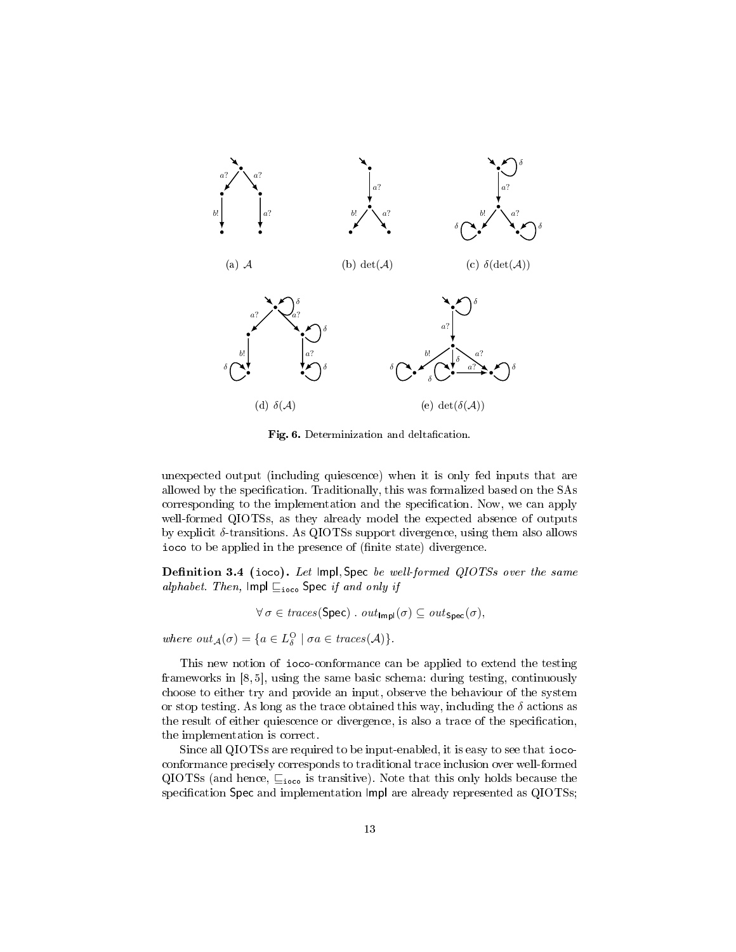

Fig. 6. Determinization and deltafication.

unexpected output (including quiescence) when it is only fed inputs that are allowed by the specification. Traditionally, this was formalized based on the SAs corresponding to the implementation and the specification. Now, we can apply well-formed QIOTSs, as they already model the expected absence of outputs by explicit δ-transitions. As QIOTSs support divergence, using them also allows ioco to be applied in the presence of (finite state) divergence.

Definition 3.4 (ioco). Let Impl, Spec be well-formed QIOTSs over the same alphabet. Then,  $\text{Impl } \sqsubseteq_{\texttt{isco}}$  Spec if and only if

$$
\forall \sigma \in \text{traces}(\mathsf{Spec}) \ . \ \text{out}_{\mathsf{Impl}}(\sigma) \subseteq \text{out}_{\mathsf{Spec}}(\sigma),
$$

where  $out_{\mathcal{A}}(\sigma) = \{a \in L_{\delta}^{\Omega} \mid \sigma a \in \text{traces}(\mathcal{A})\}.$ 

This new notion of ioco-conformance can be applied to extend the testing frameworks in [8, 5], using the same basic schema: during testing, continuously choose to either try and provide an input, observe the behaviour of the system or stop testing. As long as the trace obtained this way, including the  $\delta$  actions as the result of either quiescence or divergence, is also a trace of the specification, the implementation is correct.

Since all QIOTSs are required to be input-enabled, it is easy to see that iococonformance precisely corresponds to traditional trace inclusion over well-formed QIOTSs (and hence,  $\sqsubseteq_{\text{isco}}$  is transitive). Note that this only holds because the specification Spec and implementation Impl are already represented as QIOTSs;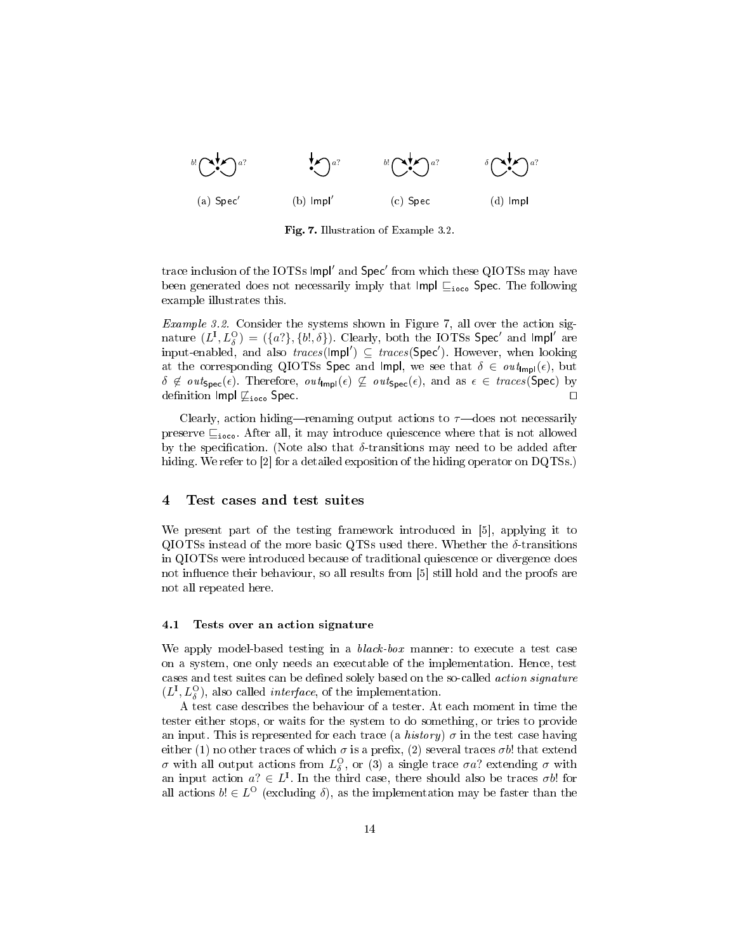

Fig. 7. Illustration of Example 3.2.

trace inclusion of the IOTSs  $\mathsf{Impl}'$  and  $\mathsf{Spec}'$  from which these QIOTSs may have been generated does not necessarily imply that  $\text{Impl } \sqsubseteq_{\text{ioco}}$  Spec. The following example illustrates this.

Example 3.2. Consider the systems shown in Figure 7, all over the action signature  $(L^{\text{I}}, L^{\text{O}}_{\delta}) = (\{a\}, \{b\}, \delta\})$ . Clearly, both the IOTSs Spec' and Impl' are input-enabled, and also  $traces(\text{Impl'}) \subseteq traces(Spec')$ . However, when looking at the corresponding QIOTSs Spec and Impl, we see that  $\delta \in out_{\text{Impl}}(\epsilon)$ , but  $\delta \notin out_{\text{Spec}}(\epsilon)$ . Therefore,  $out_{\text{Impl}}(\epsilon) \nsubseteq out_{\text{Spec}}(\epsilon)$ , and as  $\epsilon \in traces(\text{Spec})$  by definition Impl  $\underline{\mathcal{L}}_{\mathtt{ioco}}$  Spec.

Clearly, action hiding—renaming output actions to  $\tau$ —does not necessarily preserve  $\sqsubseteq_{\text{isco}}$ . After all, it may introduce quiescence where that is not allowed by the specification. (Note also that  $\delta$ -transitions may need to be added after hiding. We refer to [2] for a detailed exposition of the hiding operator on DQTSs.)

#### 4 Test cases and test suites

We present part of the testing framework introduced in [5], applying it to QIOTSs instead of the more basic QTSs used there. Whether the  $\delta$ -transitions in QIOTSs were introduced because of traditional quiescence or divergence does not influence their behaviour, so all results from [5] still hold and the proofs are not all repeated here.

#### 4.1 Tests over an action signature

We apply model-based testing in a *black-box* manner: to execute a test case on a system, one only needs an executable of the implementation. Hence, test cases and test suites can be defined solely based on the so-called *action signature*  $(L^{\text{I}}, L^{\text{O}}_{\delta})$ , also called *interface*, of the implementation.

A test case describes the behaviour of a tester. At each moment in time the tester either stops, or waits for the system to do something, or tries to provide an input. This is represented for each trace (a history)  $\sigma$  in the test case having either (1) no other traces of which  $\sigma$  is a prefix, (2) several traces  $\sigma b!$  that extend  $\sigma$  with all output actions from  $L^{\text{O}}_{\delta}$ , or (3) a single trace  $\sigma a$ ? extending  $\sigma$  with an input action  $a? \in L<sup>1</sup>$ . In the third case, there should also be traces  $\sigma b!$  for all actions  $b! \in L^{\Omega}$  (excluding  $\delta$ ), as the implementation may be faster than the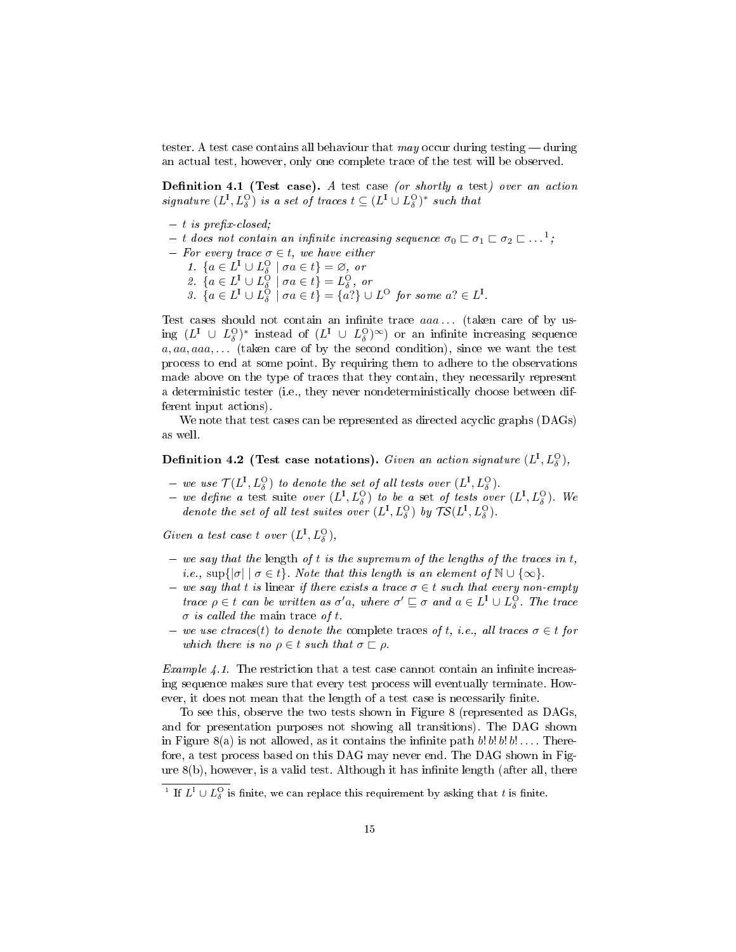tester. A test case contains all behaviour that may occur during testing  $-$  during an actual test, however, only one complete trace of the test will be observed.

**Definition 4.1 (Test case).** A test case (or shortly a test) over an action signature  $(L^{\text{I}}, L^{\text{O}}_{\delta})$  is a set of traces  $t \subseteq (L^{\text{I}} \cup L^{\text{O}}_{\delta})^*$  such that

- $t$  is prefix-closed;
- $-$  t does not contain an infinite increasing sequence  $\sigma_0\sqsubset \sigma_1 \sqsubset \sigma_2 \sqsubset \dots^1;$
- $-$  For every trace  $\sigma \in t$ , we have either
	- 1.  $\{a \in L^1 \cup L^0_{\delta} \mid \sigma a \in t\} = \varnothing$ , or
	- 2.  $\{a \in L^I \cup L^{\bullet}_{\delta} \mid \sigma a \in t\} = L^{\bullet}_{\delta}, \text{ or}$
	- 3.  $\{a \in L^{\mathcal{I}} \cup L^{\circlearrowright}_{\delta} \mid \sigma a \in t\} = \{a\} \cup L^{\mathcal{O}}$  for some  $a\text{?} \in L^{\mathcal{I}}$ .

Test cases should not contain an infinite trace  $aaa...$  (taken care of by using  $(L^I \cup L^O_{\delta})^*$  instead of  $(L^I \cup L^O_{\delta})^{\infty})$  or an infinite increasing sequence  $a, aa, aaa, \ldots$  (taken care of by the second condition), since we want the test process to end at some point. By requiring them to adhere to the observations made above on the type of traces that they contain, they necessarily represent a deterministic tester (i.e., they never nondeterministically choose between different input actions).

We note that test cases can be represented as directed acyclic graphs (DAGs) as well.

Definition 4.2 (Test case notations). Given an action signature  $(L^{\text{I}}, L^{\text{O}}_{\delta}),$ 

- we use  $\mathcal{T}(L^{\text{I}}, L^{\text{O}}_{\delta})$  to denote the set of all tests over  $(L^{\text{I}}, L^{\text{O}}_{\delta}).$
- we define a test suite over  $(L^{\text{I}}, L^{\text{O}}_\delta)$  to be a set of tests over  $(L^{\text{I}}, L^{\text{O}}_\delta)$ . We denote the set of all test suites over  $(L^I, L^O_\delta)$  by  $\mathcal{TS}(L^I, L^O_\delta)$ .

Given a test case t over  $(L^{\mathrm{I}}, L^{\mathrm{O}}_\delta),$ 

- we say that the length of t is the supremum of the lengths of the traces in t, i.e.,  $\sup\{|\sigma| \mid \sigma \in t\}$ . Note that this length is an element of  $\mathbb{N} \cup \{\infty\}$ .
- we say that t is linear if there exists a trace  $\sigma \in t$  such that every non-empty trace  $\rho \in t$  can be written as  $\sigma' a$ , where  $\sigma' \sqsubseteq \sigma$  and  $a \in L^I \cup L^{\circ}_{\delta}$ . The trace  $\sigma$  is called the main trace of t.
- $-$  we use ctraces(t) to denote the complete traces of t, *i.e.*, all traces  $σ ∈ t$  for which there is no  $\rho \in t$  such that  $\sigma \subset \rho$ .

*Example 4.1.* The restriction that a test case cannot contain an infinite increasing sequence makes sure that every test process will eventually terminate. However, it does not mean that the length of a test case is necessarily finite.

To see this, observe the two tests shown in Figure 8 (represented as DAGs, and for presentation purposes not showing all transitions). The DAG shown in Figure 8(a) is not allowed, as it contains the infinite path  $b! b! b! b! \ldots$ . Therefore, a test process based on this DAG may never end. The DAG shown in Figure  $8(b)$ , however, is a valid test. Although it has infinite length (after all, there

<sup>&</sup>lt;sup>1</sup> If  $L^1 \cup L^O_\delta$  is finite, we can replace this requirement by asking that t is finite.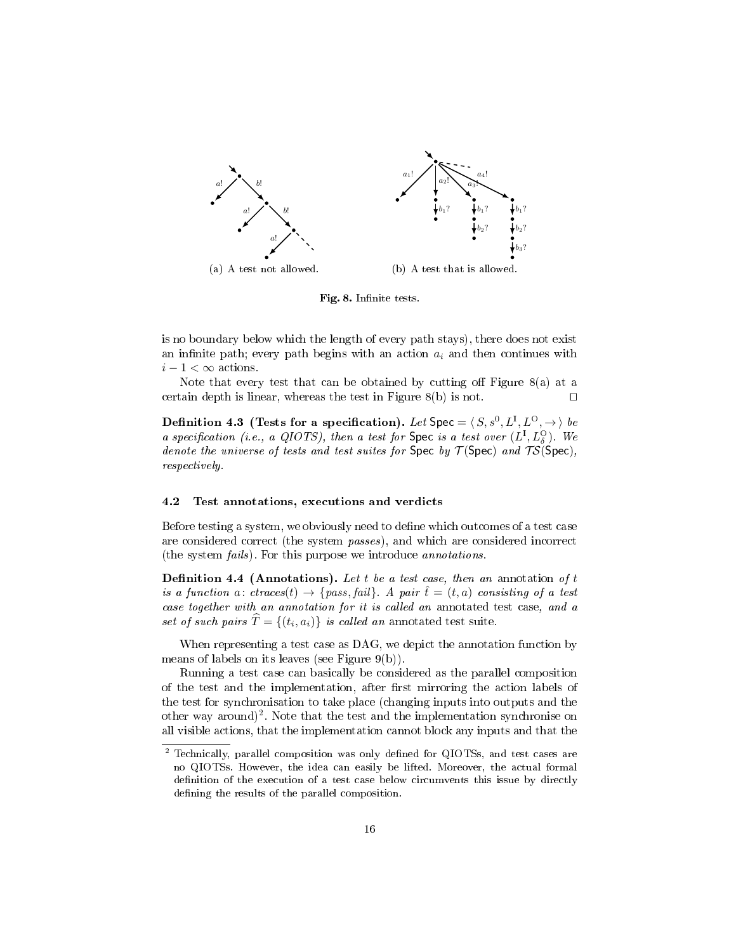

Fig. 8. Infinite tests.

is no boundary below which the length of every path stays), there does not exist an infinite path; every path begins with an action  $a_i$  and then continues with  $i-1 < \infty$  actions.

Note that every test that can be obtained by cutting off Figure  $8(a)$  at a certain depth is linear, whereas the test in Figure 8(b) is not.  $\square$ 

Definition 4.3 (Tests for a specification). Let  $\textsf{Spec} = \langle S, s^0, L^I, L^O, \rightarrow \rangle$  be a specification (i.e., a QIOTS), then a test for Spec is a test over  $(L^I, L^O_\delta)$  We denote the universe of tests and test suites for Spec by  $\mathcal{T}(\mathsf{Spec})$  and  $\mathcal{TS}(\mathsf{Spec})$ , respectively.

#### 4.2 Test annotations, executions and verdicts

Before testing a system, we obviously need to define which outcomes of a test case are considered correct (the system passes), and which are considered incorrect (the system fails). For this purpose we introduce annotations.

**Definition 4.4 (Annotations).** Let t be a test case, then an annotation of t is a function a: ctraces $(t) \rightarrow \{pass, fail\}$ . A pair  $\hat{t} = (t, a)$  consisting of a test case together with an annotation for it is called an annotated test case, and a set of such pairs  $T = \{(t_i, a_i)\}\$ is called an annotated test suite.

When representing a test case as DAG, we depict the annotation function by means of labels on its leaves (see Figure 9(b)).

Running a test case can basically be considered as the parallel composition of the test and the implementation, after first mirroring the action labels of the test for synchronisation to take place (changing inputs into outputs and the other way around)<sup>2</sup>. Note that the test and the implementation synchronise on all visible actions, that the implementation cannot block any inputs and that the

<sup>&</sup>lt;sup>2</sup> Technically, parallel composition was only defined for QIOTSs, and test cases are no QIOTSs. However, the idea can easily be lifted. Moreover, the actual formal definition of the execution of a test case below circumvents this issue by directly defining the results of the parallel composition.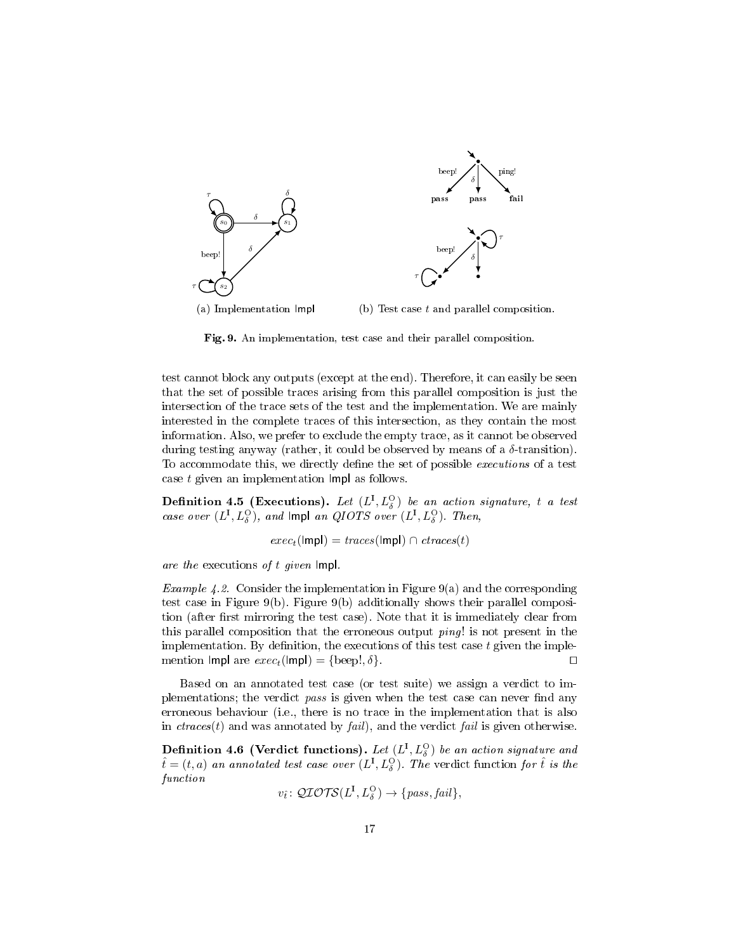

Fig. 9. An implementation, test case and their parallel composition.

test cannot block any outputs (except at the end). Therefore, it can easily be seen that the set of possible traces arising from this parallel composition is just the intersection of the trace sets of the test and the implementation. We are mainly interested in the complete traces of this intersection, as they contain the most information. Also, we prefer to exclude the empty trace, as it cannot be observed during testing anyway (rather, it could be observed by means of a  $\delta$ -transition). To accommodate this, we directly define the set of possible *executions* of a test case t given an implementation Impl as follows.

Definition 4.5 (Executions). Let  $(L^{\text{I}}, L^{\text{O}}_\delta)$  be an action signature, t a test case over  $(L^I, L^O_\delta)$ , and lmpl an QIOTS over  $(L^I, L^O_\delta)$ . Then,

$$
exec_t(\mathsf{Impl}) = traces(\mathsf{Impl}) \cap \mathit{ctraces}(t)
$$

are the executions of t given Impl.

*Example 4.2.* Consider the implementation in Figure 9(a) and the corresponding test case in Figure 9(b). Figure 9(b) additionally shows their parallel composition (after first mirroring the test case). Note that it is immediately clear from this parallel composition that the erroneous output ping! is not present in the implementation. By definition, the executions of this test case  $t$  given the implemention Impl are  $exec_t(\text{Impl}) = \{bcep!, \delta\}.$ 

Based on an annotated test case (or test suite) we assign a verdict to implementations; the verdict pass is given when the test case can never find any erroneous behaviour (i.e., there is no trace in the implementation that is also in *ctraces(t)* and was annotated by *fail)*, and the verdict *fail* is given otherwise.

**Definition 4.6 (Verdict functions).** Let  $(L^{\text{I}}, L^{\text{O}}_{\delta})$  be an action signature and  $\hat{t}=(t,a)$  an annotated test case over  $(L^\text{I}, L^\text{O}_\delta)$ . The verdict function for  $\hat{t}$  is the function

 $v_{\hat{t}}\colon \mathcal{QIOTS}(L^{\text{I}}, L^{\text{O}}_{\delta}) \to \{pass, fail\},\$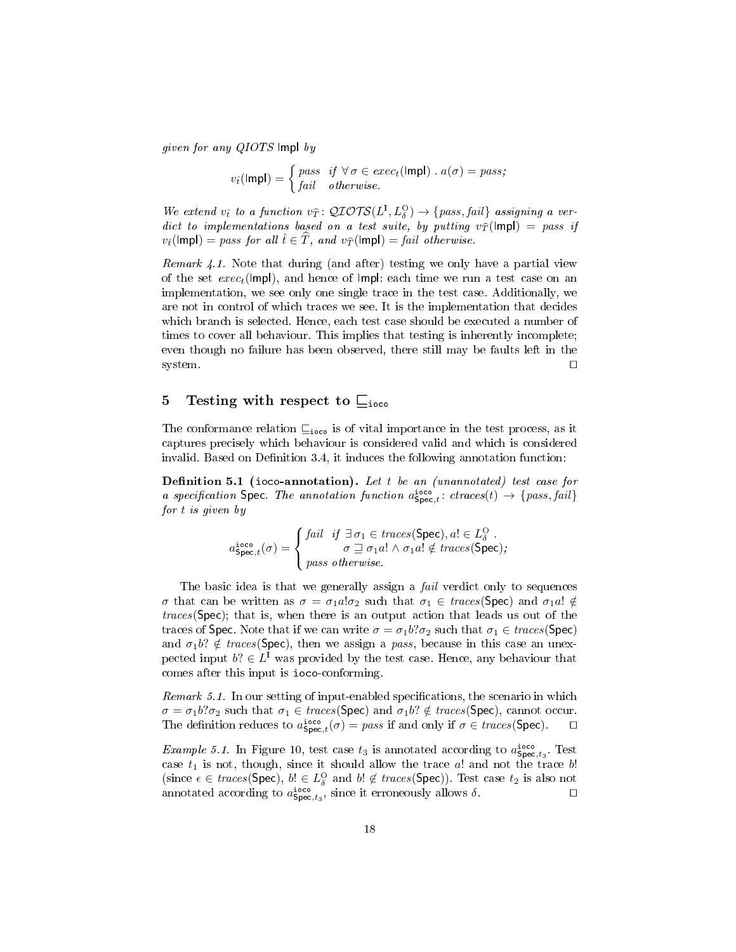given for any QIOTS Impl by

 $v_t(\text{Impl}) = \begin{cases} \text{pass} & \text{if } \forall \sigma \in exec_t(\text{Impl}) \ . \ a(\sigma) = \text{pass}; \end{cases}$ fail otherwise.

We extend  $v_t$  to a function  $v_t$ :  $\mathcal{QIOTS}(L^I, L^O) \rightarrow \{pass, fail\}$  assigning a verdict to implementations based on a test suite, by putting  $v_{\hat{I}}(\text{Impl}) = \text{pass if}$  $v_{\hat{t}}(\textsf{Impl}) = \textit{pass for all } \hat{t} \in \widehat{T}, \textit{ and } v_{\widehat{T}}(\textsf{Impl}) = \textit{fail otherwise}.$ 

Remark 4.1. Note that during (and after) testing we only have a partial view of the set  $exec_t(\text{Impl})$ , and hence of  $\text{Impl}:$  each time we run a test case on an implementation, we see only one single trace in the test case. Additionally, we are not in control of which traces we see. It is the implementation that decides which branch is selected. Hence, each test case should be executed a number of times to cover all behaviour. This implies that testing is inherently incomplete; even though no failure has been observed, there still may be faults left in the  $\Box$ system.

## 5 Testing with respect to  $\sqsubseteq_{\text{loc}}$

The conformance relation  $\mathcal{L}_{\text{isco}}$  is of vital importance in the test process, as it captures precisely which behaviour is considered valid and which is considered invalid. Based on Definition  $3.4$ , it induces the following annotation function:

Definition 5.1 (ioco-annotation). Let  $t$  be an (unannotated) test case for a specification Spec. The annotation function  $a_{\text{Spec},t}^{i_{\text{ceo}}}:ctraces(t) \rightarrow \{pass, fail\}$ for t is given by

$$
a_{\text{Spec},t}^{\text{isco}}(\sigma) = \left\{ \begin{aligned} \text{fail} & \text{if } \exists \, \sigma_1 \in \text{traces}(\text{Spec}), a! \in L_{\delta}^{\text{O}} \\ & \sigma \sqsupseteq \sigma_1 a! \land \sigma_1 a! \notin \text{traces}(\text{Spec}); \\ \text{pass otherwise.} \end{aligned} \right.
$$

The basic idea is that we generally assign a *fail* verdict only to sequences σ that can be written as  $\sigma = \sigma_1 a! \sigma_2$  such that  $\sigma_1 \in \text{traces}(\text{Spec})$  and  $\sigma_1 a! \notin$ traces(Spec); that is, when there is an output action that leads us out of the traces of Spec. Note that if we can write  $\sigma = \sigma_1 b? \sigma_2$  such that  $\sigma_1 \in \text{traces}(\text{Spec})$ and  $\sigma_1 b$ ?  $\notin$  traces(Spec), then we assign a pass, because in this case an unexpected input  $b? \in L^1$  was provided by the test case. Hence, any behaviour that comes after this input is ioco-conforming.

*Remark 5.1.* In our setting of input-enabled specifications, the scenario in which  $\sigma = \sigma_1 b? \sigma_2$  such that  $\sigma_1 \in \text{traces}(\text{Spec})$  and  $\sigma_1 b? \notin \text{traces}(\text{Spec})$ , cannot occur. The definition reduces to  $a_{\text{Spec},t}^{i\circ\text{co}}(\sigma) = \text{pass}$  if and only if  $\sigma \in \text{traces}(\text{Spec})$ .  $\square$ 

*Example 5.1.* In Figure 10, test case  $t_3$  is annotated according to  $a_{\text{Spec},t_3}^{i_{\text{occ}}}.$  Test case  $t_1$  is not, though, since it should allow the trace  $a!$  and not the trace  $b!$ (since  $\epsilon \in \text{traces}(\text{Spec})$ ,  $b! \in L^{\text{O}}_{\delta}$  and  $b! \notin \text{traces}(\text{Spec})$ ). Test case  $t_2$  is also not annotated according to  $a_{\text{Spec},t_3}^{i_{\text{occ}}},$  since it erroneously allows  $\delta$ .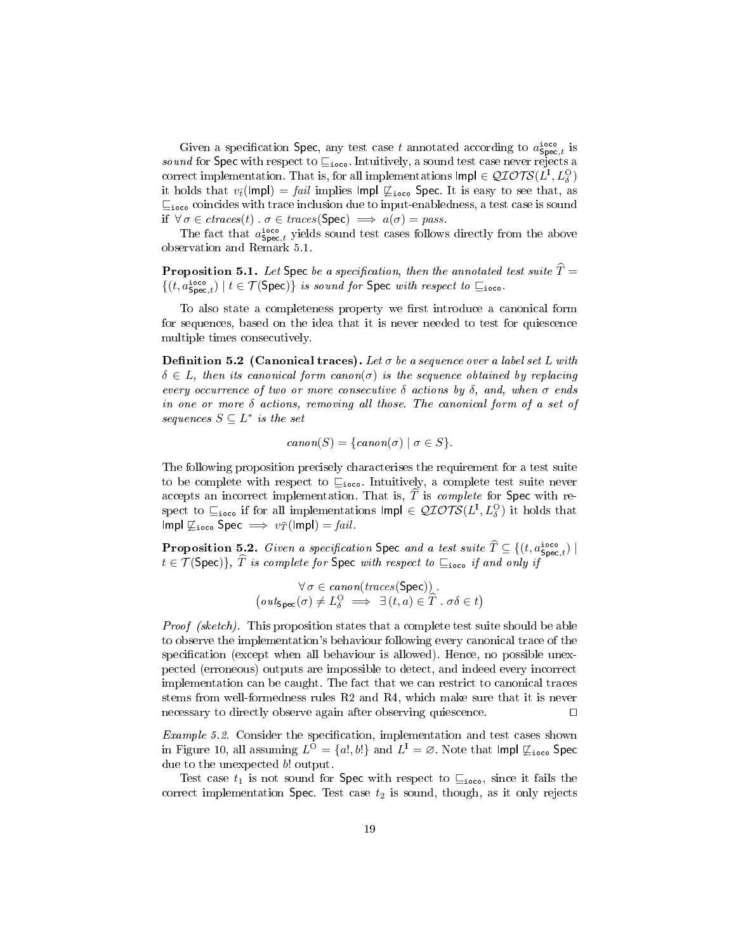Given a specification Spec, any test case t annotated according to  $a_{\text{Spec},t}^{i_{\text{occ}}}$  is sound for Spec with respect to  $\sqsubseteq_{\text{isco}}$ . Intuitively, a sound test case never rejects a correct implementation. That is, for all implementations  ${\sf Impl} \in \mathcal{QIOTS}(L^{\rm I},L^{\rm O}_\delta)$ it holds that  $v_i(\text{Impl}) = fail$  implies  $\text{Impl} \not\subseteq_{\text{loc}}$  Spec. It is easy to see that, as  $\sqsubseteq$ <sub>ioco</sub> coincides with trace inclusion due to input-enabledness, a test case is sound if  $\forall \sigma \in \text{traces}(t) \cdot \sigma \in \text{traces}(\text{Spec}) \implies a(\sigma) = \text{pass}.$ 

The fact that  $a_{\text{Spec},t}^{i_{\text{occ}}}$  yields sound test cases follows directly from the above observation and Remark 5.1.

**Proposition 5.1.** Let Spec be a specification, then the annotated test suite  $\widehat{T} =$  $\{(t, a_{\text{Spec},t}^{i_{\text{occ}}}) \mid t \in \mathcal{T}(\text{Spec})\}$  is sound for Spec with respect to  $\sqsubseteq_{\text{isco}}$ .

To also state a completeness property we first introduce a canonical form for sequences, based on the idea that it is never needed to test for quiescence multiple times consecutively.

**Definition 5.2** (Canonical traces). Let  $\sigma$  be a sequence over a label set L with  $\delta \in L$ , then its canonical form canon( $\sigma$ ) is the sequence obtained by replacing every occurrence of two or more consecutive  $\delta$  actions by  $\delta$ , and, when  $\sigma$  ends in one or more δ actions, removing all those. The canonical form of a set of sequences  $S \subseteq L^*$  is the set

$$
canon(S) = \{canon(\sigma) \mid \sigma \in S\}.
$$

The following proposition precisely characterises the requirement for a test suite to be complete with respect to  $\sqsubseteq_{\text{isco}}$ . Intuitively, a complete test suite never accepts an incorrect implementation. That is,  $\overline{T}$  is *complete* for Spec with respect to  $\sqsubseteq_{\mathsf{isco}}$  if for all implementations  $\mathsf{Impl} \in \mathcal{QIOTS}(L^{\mathsf{I}}, L^{\mathsf{O}}_\delta)$  it holds that Impl  $\mathcal{L}_{\text{isco}}$  Spec  $\implies v_{\hat{T}}(\text{Impl}) = \text{fail}.$ 

**Proposition 5.2.** Given a specification Spec and a test suite  $\widehat{T} \subseteq \{(t, a_{\text{Spec},t}^{i_{\text{core}}}) \mid$  $t \in \mathcal{T}(\mathsf{Spec})\}$ ,  $T$  is complete for  $\mathsf{Spec}$  with respect to  $\sqsubseteq_{\mathsf{isco}}$  if and only if

$$
\forall \sigma \in \mathit{canon}(\mathit{traces}(\mathsf{Spec}))\,.\newline (\mathit{out}_{\mathsf{Spec}}(\sigma) \neq L_{\delta}^{\mathsf{O}} \implies \exists \, (t,a) \in \widehat{T}\,.\ \sigma\delta \in t)
$$

Proof (sketch). This proposition states that a complete test suite should be able to observe the implementation's behaviour following every canonical trace of the specification (except when all behaviour is allowed). Hence, no possible unexpected (erroneous) outputs are impossible to detect, and indeed every incorrect implementation can be caught. The fact that we can restrict to canonical traces stems from well-formedness rules R2 and R4, which make sure that it is never necessary to directly observe again after observing quiescence.  $\Box$ 

 $Example 5.2.$  Consider the specification, implementation and test cases shown in Figure 10, all assuming  $L^{\bullet} = \{a!, b!\}$  and  $L^{\text{I}} = \varnothing$ . Note that Impl $\not\sqsubseteq_{\texttt{isco}}$  Spec due to the unexpected b! output.

Test case  $t_1$  is not sound for Spec with respect to  $\sqsubseteq_{\text{isco}}$ , since it fails the correct implementation Spec. Test case  $t_2$  is sound, though, as it only rejects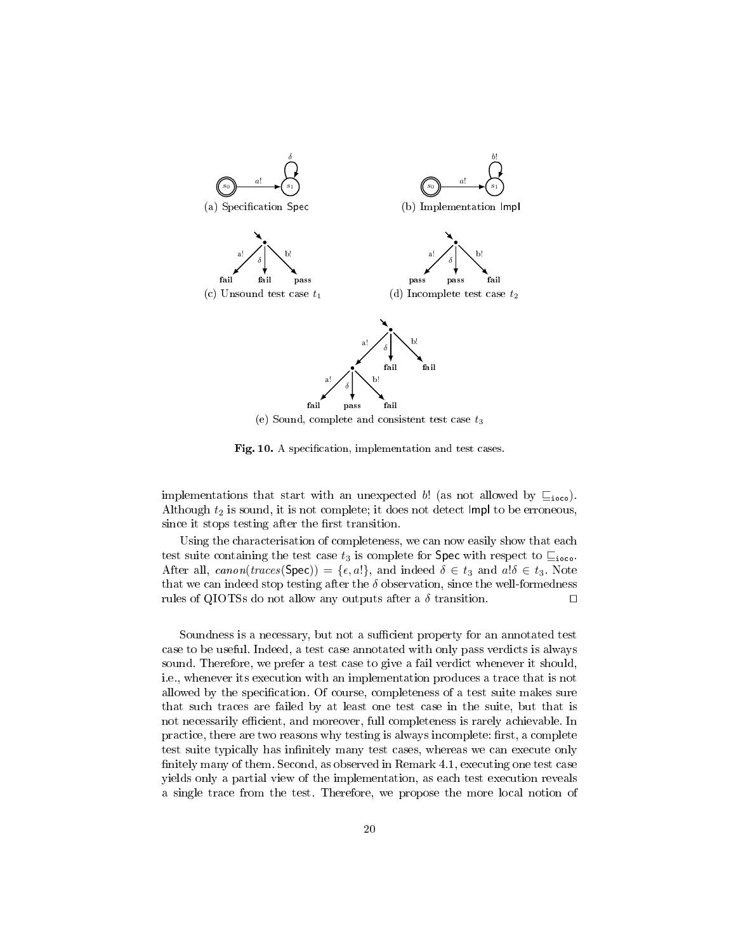

Fig. 10. A specification, implementation and test cases.

implementations that start with an unexpected b! (as not allowed by  $\sqsubseteq_{\text{isco}}$ ). Although  $t_2$  is sound, it is not complete; it does not detect  $\text{Impl}$  to be erroneous, since it stops testing after the first transition.

Using the characterisation of completeness, we can now easily show that each test suite containing the test case  $t_3$  is complete for Spec with respect to  $\sqsubseteq_{\text{isco}}$ . After all, canon(traces(Spec)) = { $\epsilon$ , a!}, and indeed  $\delta \in t_3$  and  $a!\delta \in t_3$ . Note that we can indeed stop testing after the  $\delta$  observation, since the well-formedness rules of QIOTSs do not allow any outputs after a  $\delta$  transition.

Soundness is a necessary, but not a sufficient property for an annotated test case to be useful. Indeed, a test case annotated with only pass verdicts is always sound. Therefore, we prefer a test case to give a fail verdict whenever it should, i.e., whenever its execution with an implementation produces a trace that is not allowed by the specification. Of course, completeness of a test suite makes sure that such traces are failed by at least one test case in the suite, but that is not necessarily efficient, and moreover, full completeness is rarely achievable. In practice, there are two reasons why testing is always incomplete: first, a complete test suite typically has infinitely many test cases, whereas we can execute only finitely many of them. Second, as observed in Remark 4.1, executing one test case yields only a partial view of the implementation, as each test execution reveals a single trace from the test. Therefore, we propose the more local notion of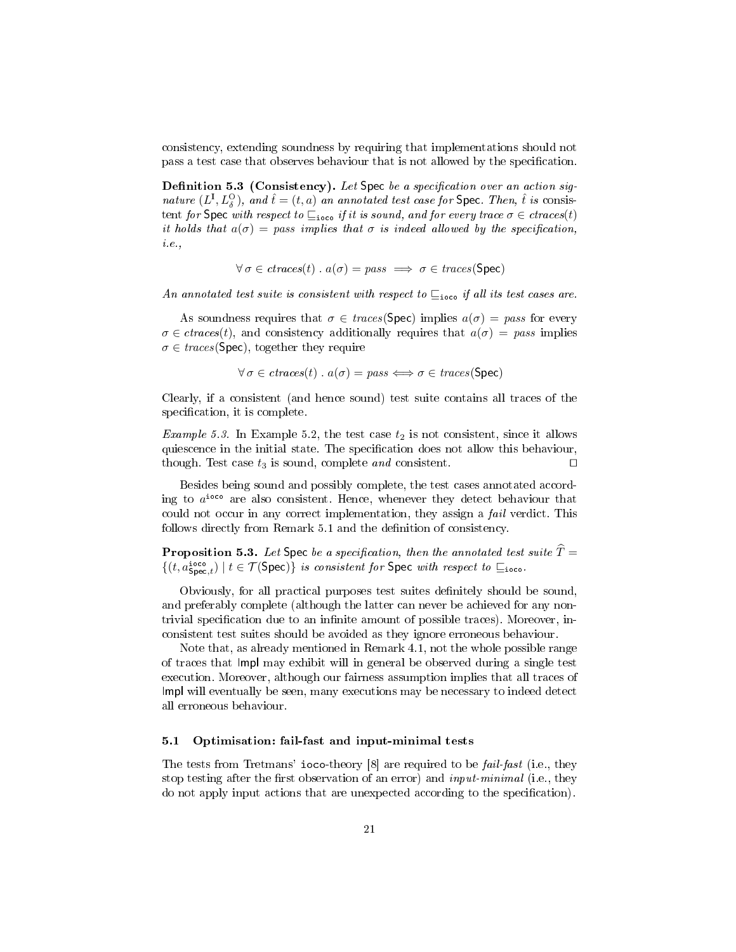consistency, extending soundness by requiring that implementations should not pass a test case that observes behaviour that is not allowed by the specification.

**Definition 5.3 (Consistency).** Let Spec be a specification over an action signature  $(L^I, L^O_\delta)$ , and  $\hat{t} = (t, a)$  an annotated test case for Spec. Then,  $\hat{t}$  is consistent for Spec with respect to  $\sqsubseteq_{\text{isco}}$  if it is sound, and for every trace  $\sigma \in \text{traces}(t)$ it holds that  $a(\sigma) = \text{pass implies that } \sigma$  is indeed allowed by the specification, i.e.,

$$
\forall \sigma \in \text{traces}(t) \ . \ a(\sigma) = \text{pass} \implies \sigma \in \text{traces}(\text{Spec})
$$

An annotated test suite is consistent with respect to  $\sqsubseteq_{\text{isco}}$  if all its test cases are.

As soundness requires that  $\sigma \in \text{traces}(\text{Spec})$  implies  $a(\sigma) = \text{pass}$  for every  $\sigma \in \text{traces}(t)$ , and consistency additionally requires that  $a(\sigma) = \text{pass implies}$  $\sigma \in \text{traces}(\text{Spec})$ , together they require

$$
\forall \sigma \in \text{traces}(t) \ . \ a(\sigma) = \text{pass} \Longleftrightarrow \sigma \in \text{traces}(\text{Spec})
$$

Clearly, if a consistent (and hence sound) test suite contains all traces of the specification, it is complete.

*Example 5.3.* In Example 5.2, the test case  $t_2$  is not consistent, since it allows quiescence in the initial state. The specification does not allow this behaviour, though. Test case  $t_3$  is sound, complete and consistent.

Besides being sound and possibly complete, the test cases annotated according to  $a^{i\texttt{occ}}$  are also consistent. Hence, whenever they detect behaviour that could not occur in any correct implementation, they assign a fail verdict. This follows directly from Remark 5.1 and the definition of consistency.

**Proposition 5.3.** Let Spec be a specification, then the annotated test suite  $\hat{T} =$  $\{(t, a_{\text{Spec},t}^{i\text{occ}}) \mid t \in \mathcal{T}(\text{Spec})\}$  is consistent for Spec with respect to  $\sqsubseteq_{\text{isco}}$ .

Obviously, for all practical purposes test suites denitely should be sound, and preferably complete (although the latter can never be achieved for any nontrivial specification due to an infinite amount of possible traces). Moreover, inconsistent test suites should be avoided as they ignore erroneous behaviour.

Note that, as already mentioned in Remark 4.1, not the whole possible range of traces that Impl may exhibit will in general be observed during a single test execution. Moreover, although our fairness assumption implies that all traces of Impl will eventually be seen, many executions may be necessary to indeed detect all erroneous behaviour.

### 5.1 Optimisation: fail-fast and input-minimal tests

The tests from Tretmans' ioco-theory [8] are required to be *fail-fast* (i.e., they stop testing after the first observation of an error) and *input-minimal* (i.e., they do not apply input actions that are unexpected according to the specification).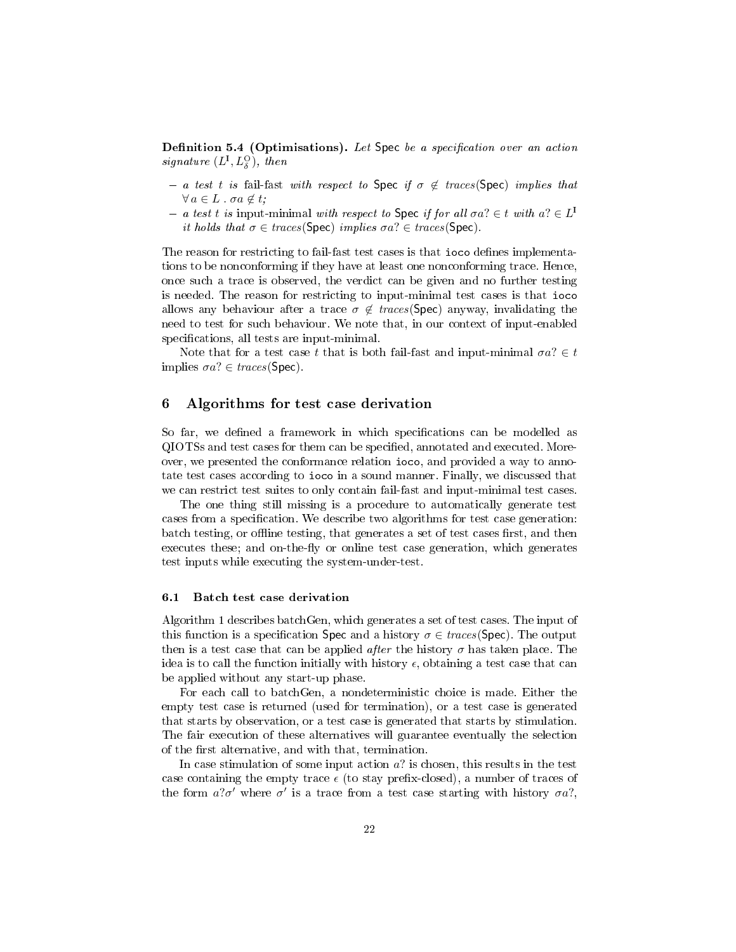**Definition 5.4 (Optimisations).** Let Spec be a specification over an action signature  $(L^{\text{I}}, L^{\text{O}}_{\delta}), \bar{h}$ en

- $a$  test t is fail-fast with respect to Spec if σ  $\not∈$  traces(Spec) implies that  $\forall a \in L \cdot \sigma a \notin t;$
- $a$  test t is input-minimal with respect to Spec if for all  $\sigma a? \in t$  with  $a? \in L^{\mathcal{I}}$ it holds that  $\sigma \in traces(Spec)$  implies  $\sigma a? \in traces(Spec)$ .

The reason for restricting to fail-fast test cases is that ioco defines implementations to be nonconforming if they have at least one nonconforming trace. Hence, once such a trace is observed, the verdict can be given and no further testing is needed. The reason for restricting to input-minimal test cases is that ioco allows any behaviour after a trace  $\sigma \notin traces(Spec)$  anyway, invalidating the need to test for such behaviour. We note that, in our context of input-enabled specifications, all tests are input-minimal.

Note that for a test case t that is both fail-fast and input-minimal  $\sigma a? \in t$ implies  $\sigma a? \in traces(\text{Spec}).$ 

## 6 Algorithms for test case derivation

So far, we defined a framework in which specifications can be modelled as QIOTSs and test cases for them can be specified, annotated and executed. Moreover, we presented the conformance relation ioco, and provided a way to annotate test cases according to ioco in a sound manner. Finally, we discussed that we can restrict test suites to only contain fail-fast and input-minimal test cases.

The one thing still missing is a procedure to automatically generate test cases from a specification. We describe two algorithms for test case generation: batch testing, or offline testing, that generates a set of test cases first, and then executes these; and on-the-fly or online test case generation, which generates test inputs while executing the system-under-test.

### 6.1 Batch test case derivation

Algorithm 1 describes batchGen, which generates a set of test cases. The input of this function is a specification Spec and a history  $\sigma \in traces(Spec)$ . The output then is a test case that can be applied *after* the history  $\sigma$  has taken place. The idea is to call the function initially with history  $\epsilon$ , obtaining a test case that can be applied without any start-up phase.

For each call to batchGen, a nondeterministic choice is made. Either the empty test case is returned (used for termination), or a test case is generated that starts by observation, or a test case is generated that starts by stimulation. The fair execution of these alternatives will guarantee eventually the selection of the first alternative, and with that, termination.

In case stimulation of some input action a? is chosen, this results in the test case containing the empty trace  $\epsilon$  (to stay prefix-closed), a number of traces of the form  $a$ ? $\sigma'$  where  $\sigma'$  is a trace from a test case starting with history  $\sigma a$ ?,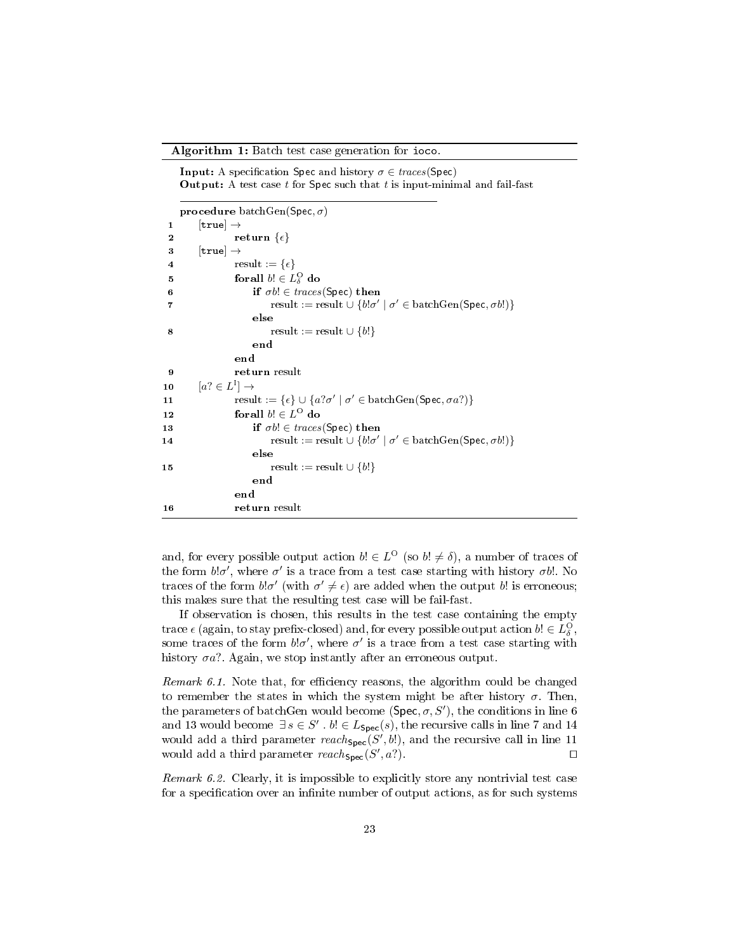Algorithm 1: Batch test case generation for ioco.

**Input:** A specification Spec and history  $\sigma \in \text{traces}(\text{Spec})$ Output: A test case  $t$  for Spec such that  $t$  is input-minimal and fail-fast

|             | <b>procedure</b> batchGen(Spec, $\sigma$ )                                                           |
|-------------|------------------------------------------------------------------------------------------------------|
| 1           | $ \text{true}  \rightarrow$                                                                          |
| $\mathbf 2$ | return $\{\epsilon\}$                                                                                |
| 3           | $ \texttt{true}  \rightarrow$                                                                        |
| 4           | result $:= \{\epsilon\}$                                                                             |
| 5           | forall $b! \in L_{\delta}^{\text{O}}$ do                                                             |
| 6           | if $\sigma b! \in traces(Spec)$ then                                                                 |
| 7           | result := result $\cup$ { $b!\sigma'   \sigma' \in \text{batchGen}(\text{Spec}, \sigma b!)$ }        |
|             | else                                                                                                 |
| 8           | result := result $\cup \{b!\}$                                                                       |
|             | end                                                                                                  |
|             | end                                                                                                  |
| 9           | return result                                                                                        |
| 10          | $[a? \in L^{\mathcal{I}}] \rightarrow$                                                               |
| 11          | result := $\{\epsilon\} \cup \{a?\sigma' \mid \sigma' \in \text{batchGen}(\text{Spec}, \sigma a?)\}$ |
| 12          | forall $b! \in L^{\mathcal{O}}$ do                                                                   |
| 13          | if $\sigma b! \in \text{traces}(\text{Spec})$ then                                                   |
| 14          | result := result $\cup$ { $b!\sigma'   \sigma' \in \text{batchGen}(\text{Spec}, \sigma b!)$ }        |
|             | else                                                                                                 |
| 15          | result := result $\cup \{b!\}$                                                                       |
|             | end                                                                                                  |
|             | end                                                                                                  |
| 16          | return result                                                                                        |

and, for every possible output action  $b! \in L^{\Omega}$  (so  $b! \neq \delta$ ), a number of traces of the form  $b!\sigma'$ , where  $\sigma'$  is a trace from a test case starting with history  $\sigma b!$ . No traces of the form  $b!\sigma'$  (with  $\sigma' \neq \epsilon$ ) are added when the output b! is erroneous; this makes sure that the resulting test case will be fail-fast.

If observation is chosen, this results in the test case containing the empty trace  $\epsilon$  (again, to stay prefix-closed) and, for every possible output action  $b! \in L^Q_\delta,$ some traces of the form  $bl\sigma'$ , where  $\sigma'$  is a trace from a test case starting with history  $\sigma a$ ?. Again, we stop instantly after an erroneous output.

*Remark 6.1.* Note that, for efficiency reasons, the algorithm could be changed to remember the states in which the system might be after history  $\sigma$ . Then, the parameters of batchGen would become (Spec,  $\sigma$ , S'), the conditions in line 6 and 13 would become  $\exists s \in S'$ .  $b! \in L_{\text{Spec}}(s)$ , the recursive calls in line 7 and 14 would add a third parameter  $reach_{\text{Spec}}(S', b!)$ , and the recursive call in line 11 would add a third parameter  $reach_{\text{Spec}}(S', a?)$ 

Remark 6.2. Clearly, it is impossible to explicitly store any nontrivial test case for a specification over an infinite number of output actions, as for such systems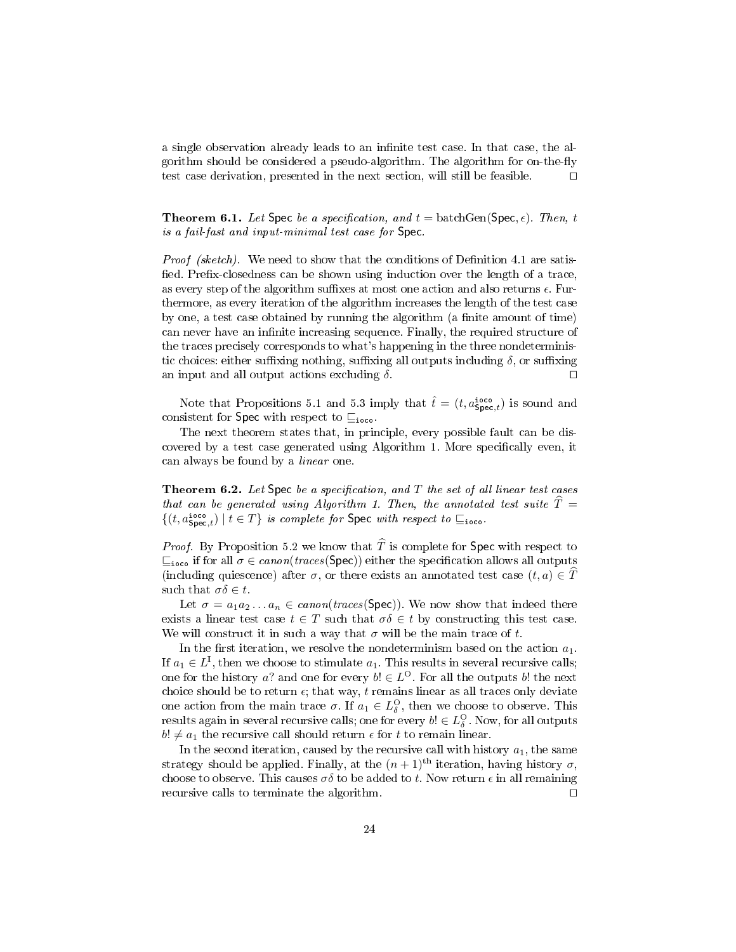a single observation already leads to an infinite test case. In that case, the algorithm should be considered a pseudo-algorithm. The algorithm for on-the-fly test case derivation, presented in the next section, will still be feasible.  $\Box$ 

**Theorem 6.1.** Let Spec be a specification, and  $t = \text{batchGen}(\text{Spec}, \epsilon)$ . Then, t is a fail-fast and input-minimal test case for Spec.

*Proof (sketch)*. We need to show that the conditions of Definition 4.1 are satisfied. Prefix-closedness can be shown using induction over the length of a trace, as every step of the algorithm suffixes at most one action and also returns  $\epsilon$ . Furthermore, as every iteration of the algorithm increases the length of the test case by one, a test case obtained by running the algorithm (a finite amount of time) can never have an infinite increasing sequence. Finally, the required structure of the traces precisely corresponds to what's happening in the three nondeterministic choices: either suffixing nothing, suffixing all outputs including  $\delta$ , or suffixing an input and all output actions excluding  $\delta$ .

Note that Propositions 5.1 and 5.3 imply that  $\hat{t} = (t, a_{\text{Spec},t}^{i,\text{occ}})$  is sound and consistent for Spec with respect to  $\sqsubseteq_{\text{ioco}}$ .

The next theorem states that, in principle, every possible fault can be discovered by a test case generated using Algorithm 1. More specifically even, it can always be found by a linear one.

**Theorem 6.2.** Let Spec be a specification, and  $T$  the set of all linear test cases that can be generated using Algorithm 1. Then, the annotated test suite  $T =$  $\{(t, a_{\text{Spec},t}^{i\text{occ}}) \mid t \in T\}$  is complete for Spec with respect to  $\sqsubseteq_{\text{isco}}$ .

*Proof.* By Proposition 5.2 we know that  $\widehat{T}$  is complete for Spec with respect to  $\subseteq$ <sub>ioco</sub> if for all  $\sigma \in$  *canon*(*traces*(Spec)) either the specification allows all outputs (including quiescence) after  $\sigma$ , or there exists an annotated test case  $(t, a) \in \hat{T}$ such that  $\sigma\delta \in t$ .

Let  $\sigma = a_1 a_2 \ldots a_n \in \text{canonical}(\text{trace}(Spec))$ . We now show that indeed there exists a linear test case  $t \in T$  such that  $\sigma \delta \in t$  by constructing this test case. We will construct it in such a way that  $\sigma$  will be the main trace of t.

In the first iteration, we resolve the nondeterminism based on the action  $a_1$ . If  $a_1 \in L^{\mathcal{I}}$ , then we choose to stimulate  $a_1$ . This results in several recursive calls; one for the history a? and one for every  $b! \in L^{\mathcal{O}}$ . For all the outputs b! the next choice should be to return  $\epsilon$ ; that way, t remains linear as all traces only deviate one action from the main trace  $\sigma$ . If  $a_1 \in L^{\Omega}_{\delta}$ , then we choose to observe. This results again in several recursive calls; one for every  $b! \in L_{\delta}^{\text{O}}$ . Now, for all outputs  $b! \neq a_1$  the recursive call should return  $\epsilon$  for t to remain linear.

In the second iteration, caused by the recursive call with history  $a_1$ , the same strategy should be applied. Finally, at the  $(n+1)$ <sup>th</sup> iteration, having history  $\sigma$ , choose to observe. This causes  $\sigma\delta$  to be added to t. Now return  $\epsilon$  in all remaining recursive calls to terminate the algorithm.  $\Box$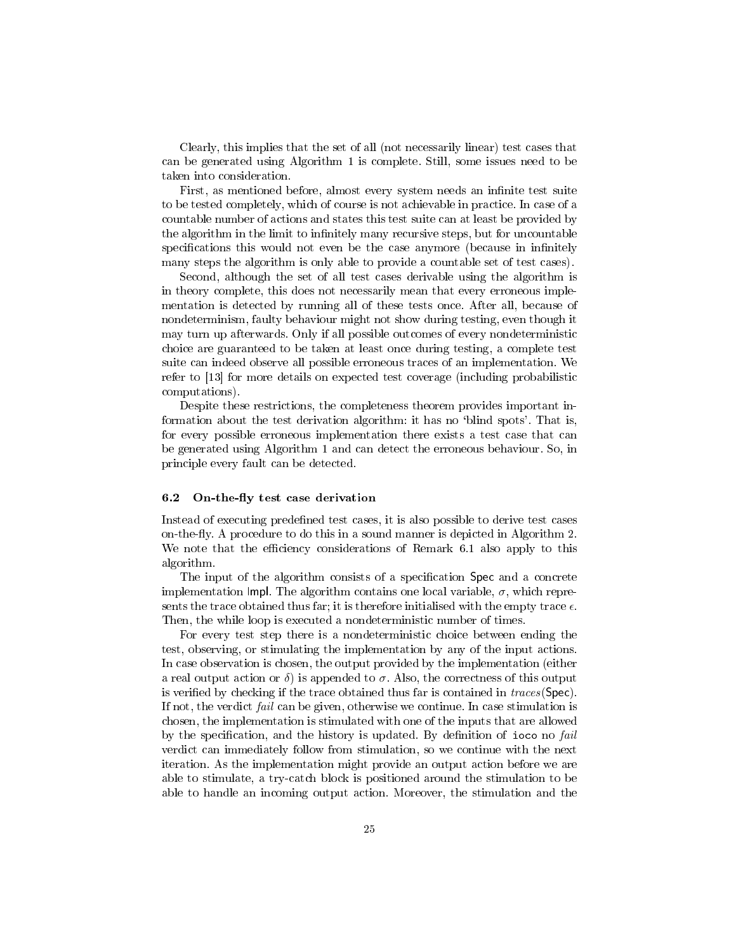Clearly, this implies that the set of all (not necessarily linear) test cases that can be generated using Algorithm 1 is complete. Still, some issues need to be taken into consideration.

First, as mentioned before, almost every system needs an infinite test suite to be tested completely, which of course is not achievable in practice. In case of a countable number of actions and states this test suite can at least be provided by the algorithm in the limit to infinitely many recursive steps, but for uncountable specifications this would not even be the case anymore (because in infinitely many steps the algorithm is only able to provide a countable set of test cases).

Second, although the set of all test cases derivable using the algorithm is in theory complete, this does not necessarily mean that every erroneous implementation is detected by running all of these tests once. After all, because of nondeterminism, faulty behaviour might not show during testing, even though it may turn up afterwards. Only if all possible outcomes of every nondeterministic choice are guaranteed to be taken at least once during testing, a complete test suite can indeed observe all possible erroneous traces of an implementation. We refer to [13] for more details on expected test coverage (including probabilistic computations).

Despite these restrictions, the completeness theorem provides important information about the test derivation algorithm: it has no 'blind spots'. That is, for every possible erroneous implementation there exists a test case that can be generated using Algorithm 1 and can detect the erroneous behaviour. So, in principle every fault can be detected.

#### 6.2 On-the-fly test case derivation

Instead of executing predefined test cases, it is also possible to derive test cases on-the-fly. A procedure to do this in a sound manner is depicted in Algorithm 2. We note that the efficiency considerations of Remark 6.1 also apply to this algorithm.

The input of the algorithm consists of a specification Spec and a concrete implementation Impl. The algorithm contains one local variable,  $\sigma$ , which represents the trace obtained thus far; it is therefore initialised with the empty trace  $\epsilon$ . Then, the while loop is executed a nondeterministic number of times.

For every test step there is a nondeterministic choice between ending the test, observing, or stimulating the implementation by any of the input actions. In case observation is chosen, the output provided by the implementation (either a real output action or  $\delta$ ) is appended to  $\sigma$ . Also, the correctness of this output is verified by checking if the trace obtained thus far is contained in  $traces(Spec)$ . If not, the verdict fail can be given, otherwise we continue. In case stimulation is chosen, the implementation is stimulated with one of the inputs that are allowed by the specification, and the history is updated. By definition of ioco no fail verdict can immediately follow from stimulation, so we continue with the next iteration. As the implementation might provide an output action before we are able to stimulate, a try-catch block is positioned around the stimulation to be able to handle an incoming output action. Moreover, the stimulation and the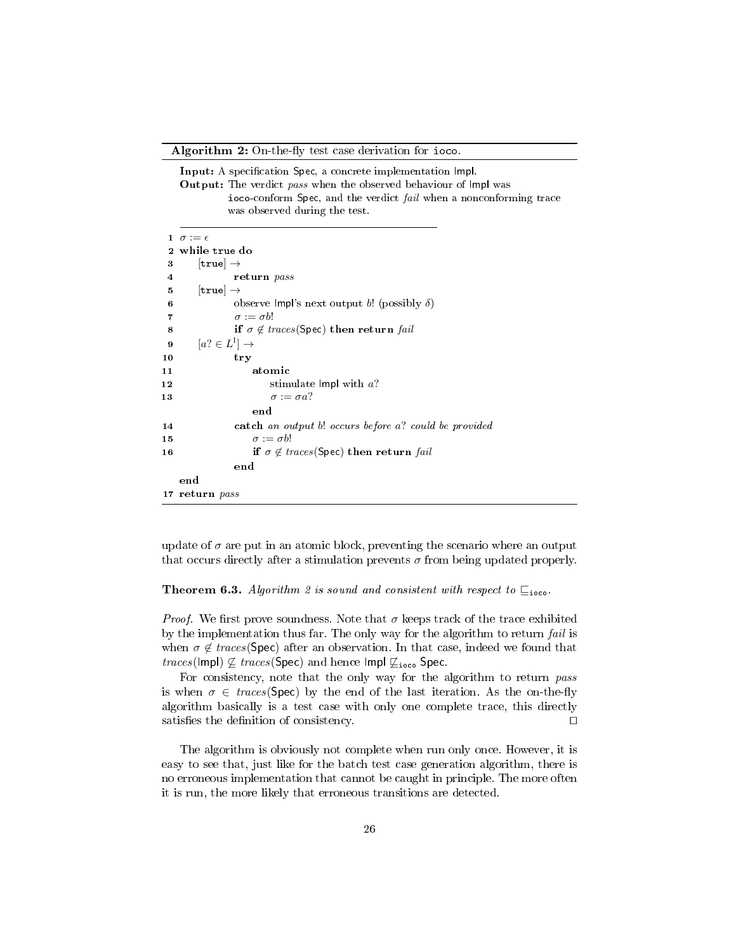#### Algorithm  $2$ : On-the-fly test case derivation for ioco.

Input: A specification Spec, a concrete implementation Impl.

Output: The verdict pass when the observed behaviour of Impl was ioco-conform Spec, and the verdict fail when a nonconforming trace was observed during the test.

|              | 1 $\sigma := \epsilon$                                         |
|--------------|----------------------------------------------------------------|
| $\mathbf{2}$ | while true do                                                  |
| 3            | $[true] \rightarrow$                                           |
| 4            | return pass                                                    |
| 5            | $ \texttt{true}  \rightarrow$                                  |
| 6            | observe lmp's next output b! (possibly $\delta$ )              |
| 7            | $\sigma := \sigma b!$                                          |
| 8            | if $\sigma \notin traces(Spec)$ then return fail               |
| 9            | $[a? \in L^{\mathcal{I}}] \rightarrow$                         |
| 10           | try                                                            |
| 11           | atomic                                                         |
| 12           | stimulate $\text{Impl with } a?$                               |
| 13           | $\sigma := \sigma a?$                                          |
|              | end                                                            |
| 14           | <b>catch</b> an output b! occurs before a? could be provided   |
| 15           | $\sigma := \sigma b!$                                          |
| 16           | if $\sigma \notin \text{traces}(\text{Spec})$ then return fail |
|              | end                                                            |
|              | end                                                            |
|              | 17 return pass                                                 |

update of  $\sigma$  are put in an atomic block, preventing the scenario where an output that occurs directly after a stimulation prevents  $\sigma$  from being updated properly.

### **Theorem 6.3.** Algorithm 2 is sound and consistent with respect to  $\subseteq_{\text{isco}}$ .

*Proof.* We first prove soundness. Note that  $\sigma$  keeps track of the trace exhibited by the implementation thus far. The only way for the algorithm to return fail is when  $\sigma \notin traces(Spec)$  after an observation. In that case, indeed we found that *traces*(lmpl)  $\nsubseteq$  *traces*(Spec) and hence Impl  $\nsubseteq$ <sub>ioco</sub> Spec.

For consistency, note that the only way for the algorithm to return pass is when  $\sigma \in \text{traces}(\text{Spec})$  by the end of the last iteration. As the on-the-fly algorithm basically is a test case with only one complete trace, this directly satisfies the definition of consistency.  $\Box$ 

The algorithm is obviously not complete when run only once. However, it is easy to see that, just like for the batch test case generation algorithm, there is no erroneous implementation that cannot be caught in principle. The more often it is run, the more likely that erroneous transitions are detected.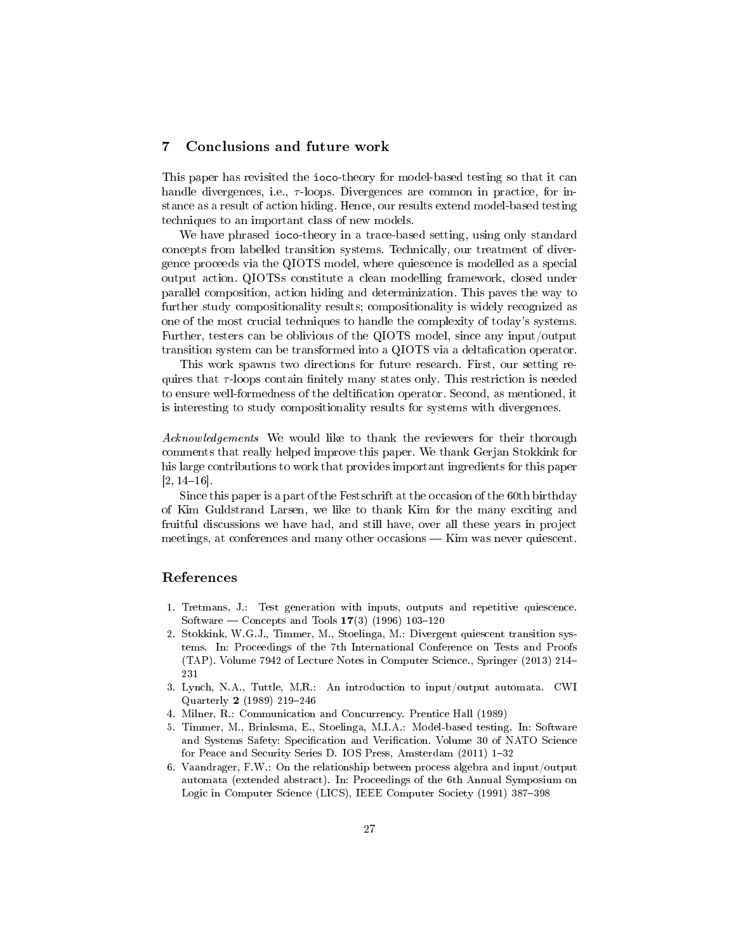## 7 Conclusions and future work

This paper has revisited the ioco-theory for model-based testing so that it can handle divergences, i.e.,  $\tau$ -loops. Divergences are common in practice, for instance as a result of action hiding. Hence, our results extend model-based testing techniques to an important class of new models.

We have phrased ioco-theory in a trace-based setting, using only standard concepts from labelled transition systems. Technically, our treatment of divergence proceeds via the QIOTS model, where quiescence is modelled as a special output action. QIOTSs constitute a clean modelling framework, closed under parallel composition, action hiding and determinization. This paves the way to further study compositionality results; compositionality is widely recognized as one of the most crucial techniques to handle the complexity of today's systems. Further, testers can be oblivious of the QIOTS model, since any input/output transition system can be transformed into a QIOTS via a deltafication operator.

This work spawns two directions for future research. First, our setting requires that  $\tau$ -loops contain finitely many states only. This restriction is needed to ensure well-formedness of the deltification operator. Second, as mentioned, it is interesting to study compositionality results for systems with divergences.

Acknowledgements We would like to thank the reviewers for their thorough comments that really helped improve this paper. We thank Gerjan Stokkink for his large contributions to work that provides important ingredients for this paper  $[2, 14-16]$ .

Since this paper is a part of the Festschrift at the occasion of the 60th birthday of Kim Guldstrand Larsen, we like to thank Kim for the many exciting and fruitful discussions we have had, and still have, over all these years in project meetings, at conferences and many other occasions — Kim was never quiescent.

## References

- 1. Tretmans, J.: Test generation with inputs, outputs and repetitive quiescence. Software – Concepts and Tools  $17(3)$  (1996) 103-120
- 2. Stokkink, W.G.J., Timmer, M., Stoelinga, M.: Divergent quiescent transition systems. In: Proceedings of the 7th International Conference on Tests and Proofs (TAP). Volume 7942 of Lecture Notes in Computer Science., Springer (2013) 214 231
- 3. Lynch, N.A., Tuttle, M.R.: An introduction to input/output automata. CWI Quarterly  $2(1989) 219-246$
- 4. Milner, R.: Communication and Concurrency. Prentice Hall (1989)
- 5. Timmer, M., Brinksma, E., Stoelinga, M.I.A.: Model-based testing. In: Software and Systems Safety: Specification and Verification. Volume 30 of NATO Science for Peace and Security Series D. IOS Press, Amsterdam (2011) 1-32
- 6. Vaandrager, F.W.: On the relationship between process algebra and input/output automata (extended abstract). In: Proceedings of the 6th Annual Symposium on Logic in Computer Science (LICS), IEEE Computer Society (1991) 387-398